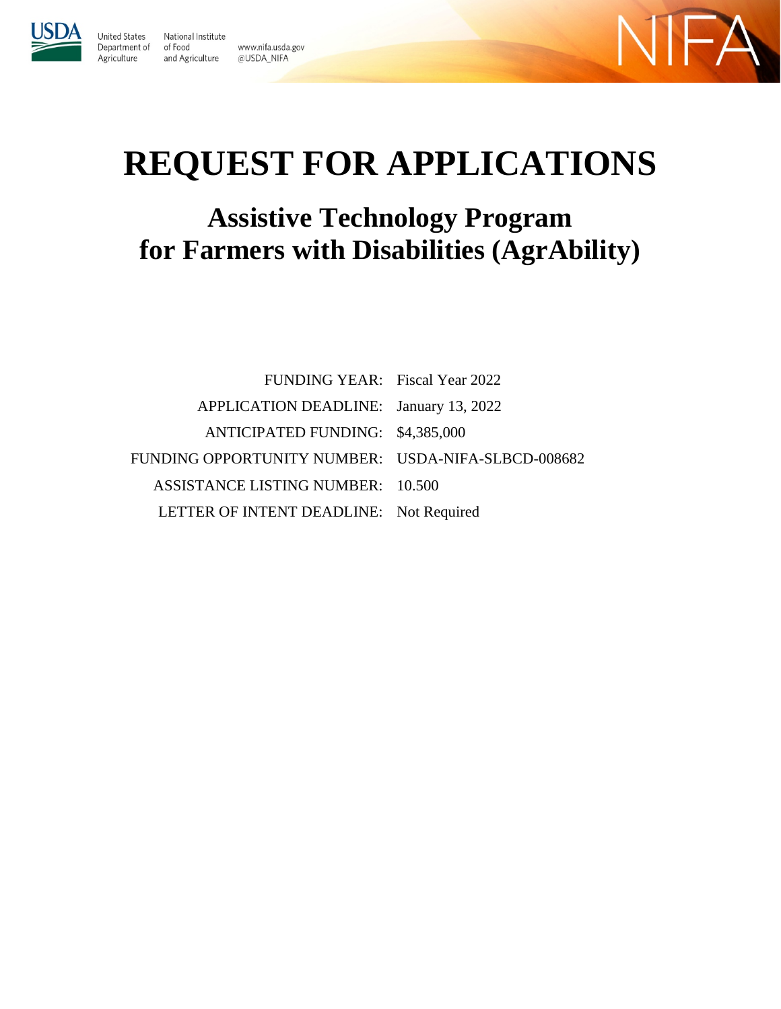

United States

Agriculture

National Institute Department of of Food www.nifa.usda.gov and Agriculture @USDA\_NIFA



# **REQUEST FOR APPLICATIONS**

## **Assistive Technology Program for Farmers with Disabilities (AgrAbility)**

| <b>FUNDING YEAR:</b> Fiscal Year 2022              |  |
|----------------------------------------------------|--|
| APPLICATION DEADLINE: January 13, 2022             |  |
| ANTICIPATED FUNDING: \$4,385,000                   |  |
| FUNDING OPPORTUNITY NUMBER: USDA-NIFA-SLBCD-008682 |  |
| <b>ASSISTANCE LISTING NUMBER: 10.500</b>           |  |
| LETTER OF INTENT DEADLINE: Not Required            |  |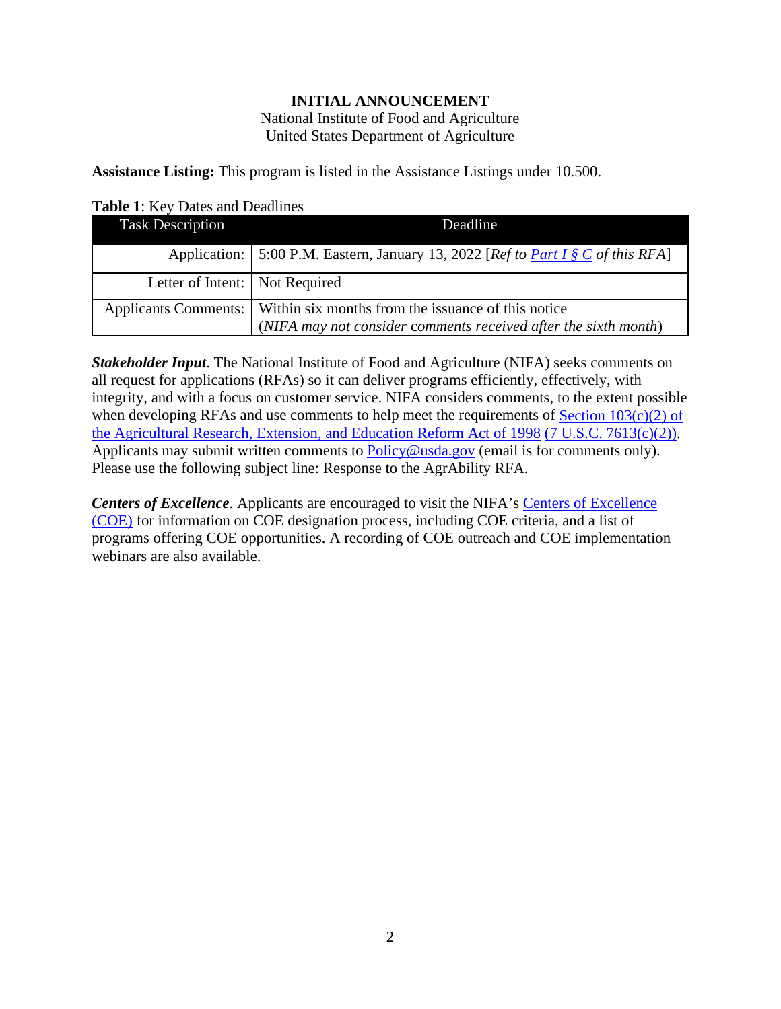#### **INITIAL ANNOUNCEMENT**

National Institute of Food and Agriculture United States Department of Agriculture

<span id="page-1-0"></span>**Assistance Listing:** This program is listed in the Assistance Listings under 10.500.

<span id="page-1-1"></span>**Table 1**: Key Dates and Deadlines

| <b>Task Description</b>          | Deadline                                                                                                                                     |
|----------------------------------|----------------------------------------------------------------------------------------------------------------------------------------------|
|                                  | Application:   5:00 P.M. Eastern, January 13, 2022 [Ref to Part I § C of this RFA]                                                           |
| Letter of Intent:   Not Required |                                                                                                                                              |
|                                  | Applicants Comments:   Within six months from the issuance of this notice<br>(NIFA may not consider comments received after the sixth month) |

*Stakeholder Input*. The National Institute of Food and Agriculture (NIFA) seeks comments on all request for applications (RFAs) so it can deliver programs efficiently, effectively, with integrity, and with a focus on customer service. NIFA considers comments, to the extent possible when developing RFAs and use comments to help meet the requirements of Section  $103(c)(2)$  of [the Agricultural Research, Extension, and Education Reform Act of 1998](https://nifa.usda.gov/resource/agricultural-research-extension-and-education-reform-act-1998) [\(7 U.S.C. 7613\(c\)\(2\)\).](https://uscode.house.gov/view.xhtml?req=(title:7%20section:7613%20edition:prelim)%20OR%20(granuleid:USC-prelim-title7-section7613)&f=treesort&edition=prelim&num=0&jumpTo=true) Applicants may submit written comments to [Policy@usda.gov](mailto:Policy@usda.gov) (email is for comments only). Please use the following subject line: Response to the AgrAbility RFA.

**Centers of Excellence**. Applicants are encouraged to visit the NIFA's Centers of Excellence [\(COE\)](https://nifa.usda.gov/centers-excellence) for information on COE designation process, including COE criteria, and a list of programs offering COE opportunities. A recording of COE outreach and COE implementation webinars are also available.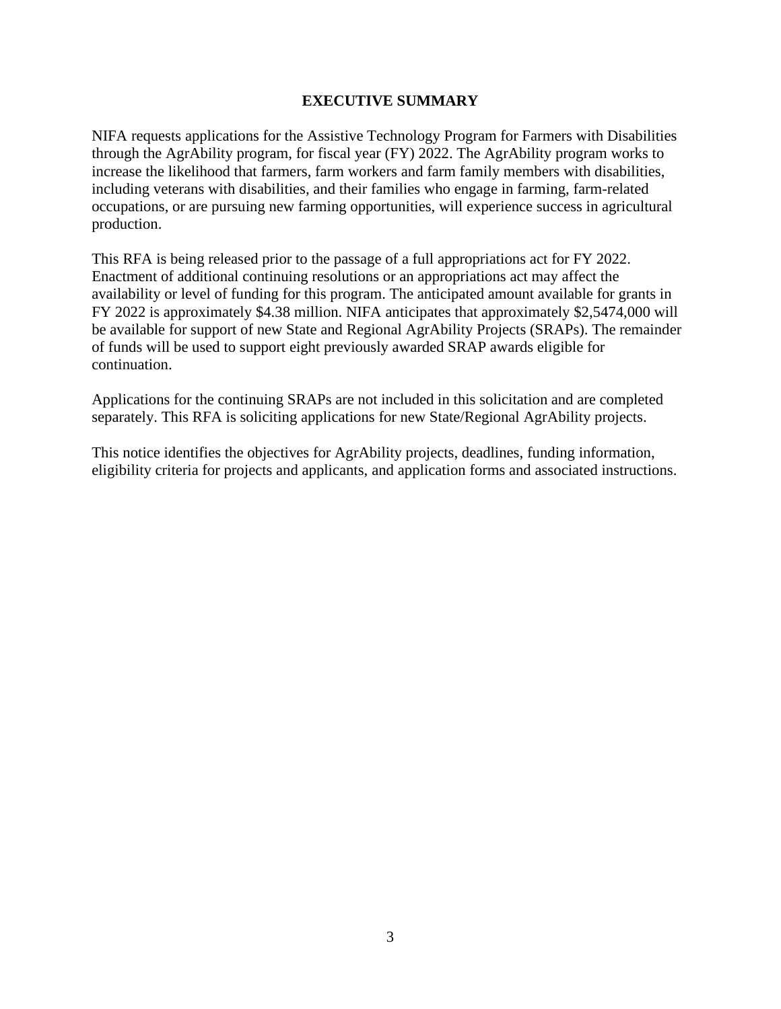#### **EXECUTIVE SUMMARY**

<span id="page-2-0"></span>NIFA requests applications for the Assistive Technology Program for Farmers with Disabilities through the AgrAbility program, for fiscal year (FY) 2022. The AgrAbility program works to increase the likelihood that farmers, farm workers and farm family members with disabilities, including veterans with disabilities, and their families who engage in farming, farm-related occupations, or are pursuing new farming opportunities, will experience success in agricultural production.

This RFA is being released prior to the passage of a full appropriations act for FY 2022. Enactment of additional continuing resolutions or an appropriations act may affect the availability or level of funding for this program. The anticipated amount available for grants in FY 2022 is approximately \$4.38 million. NIFA anticipates that approximately \$2,5474,000 will be available for support of new State and Regional AgrAbility Projects (SRAPs). The remainder of funds will be used to support eight previously awarded SRAP awards eligible for continuation.

Applications for the continuing SRAPs are not included in this solicitation and are completed separately. This RFA is soliciting applications for new State/Regional AgrAbility projects.

This notice identifies the objectives for AgrAbility projects, deadlines, funding information, eligibility criteria for projects and applicants, and application forms and associated instructions.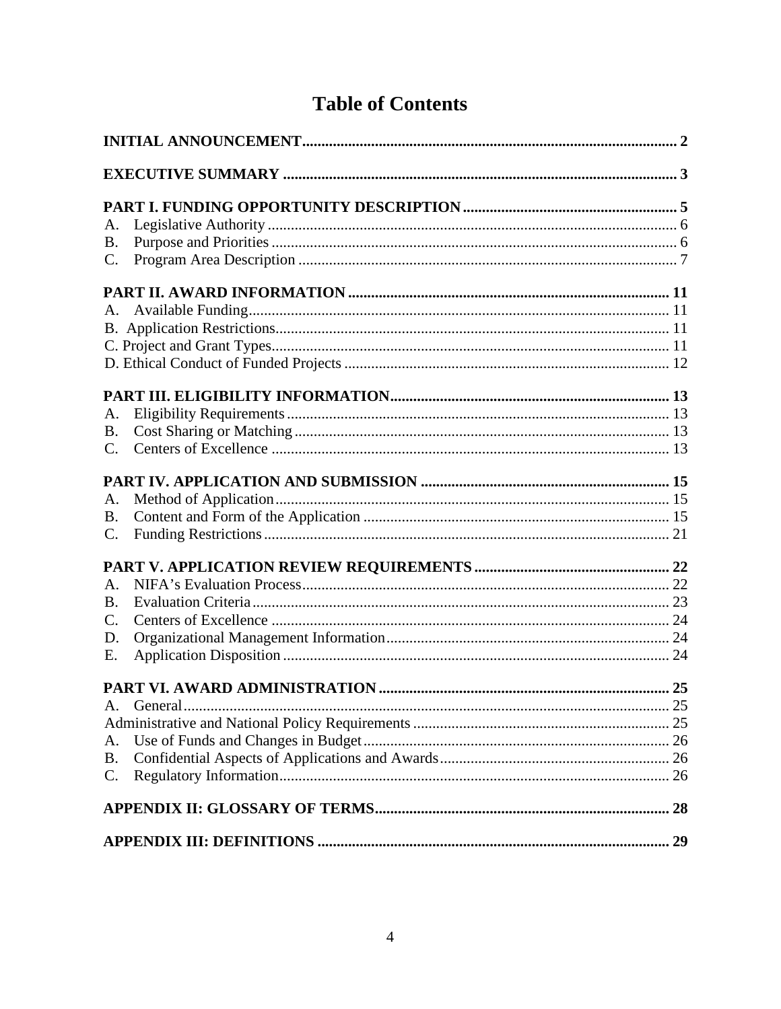### **Table of Contents**

| A.<br><b>B.</b><br>C.                   |  |
|-----------------------------------------|--|
| A.                                      |  |
| A.<br><b>B.</b><br>$C_{\cdot}$          |  |
| A.<br>Β.<br>C.                          |  |
| A.<br>Β.<br>$\mathcal{C}$ .<br>D.<br>Е. |  |
| A.<br>A.<br><b>B.</b><br>$\mathbf{C}$ . |  |
|                                         |  |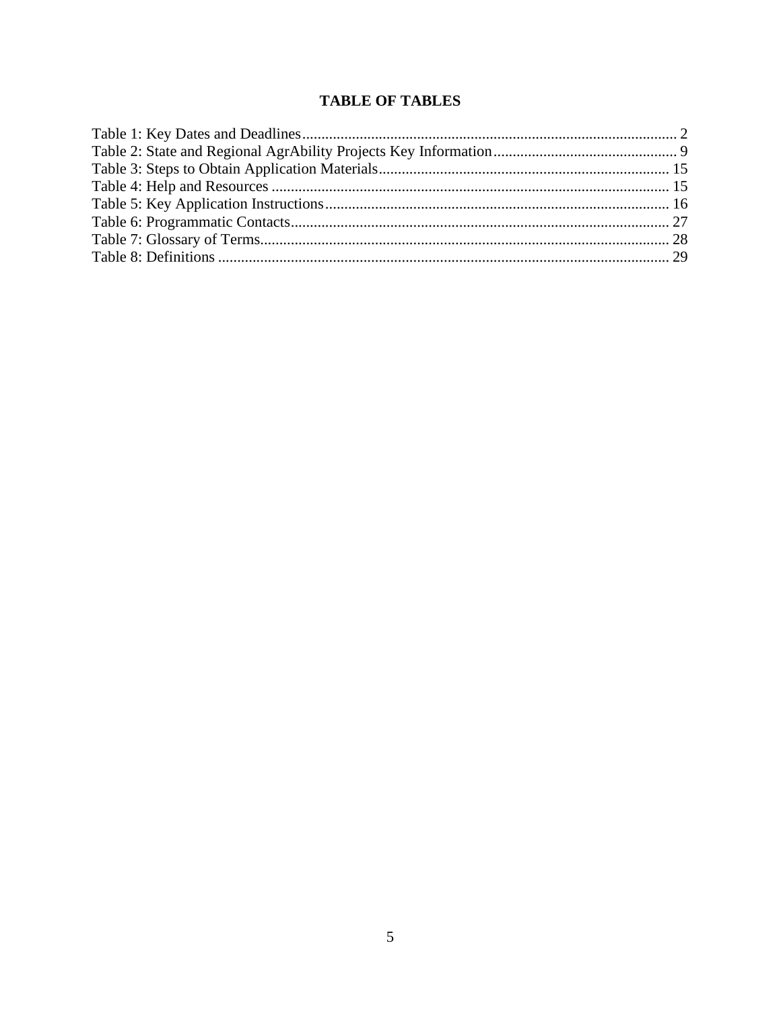#### **TABLE OF TABLES**

<span id="page-4-0"></span>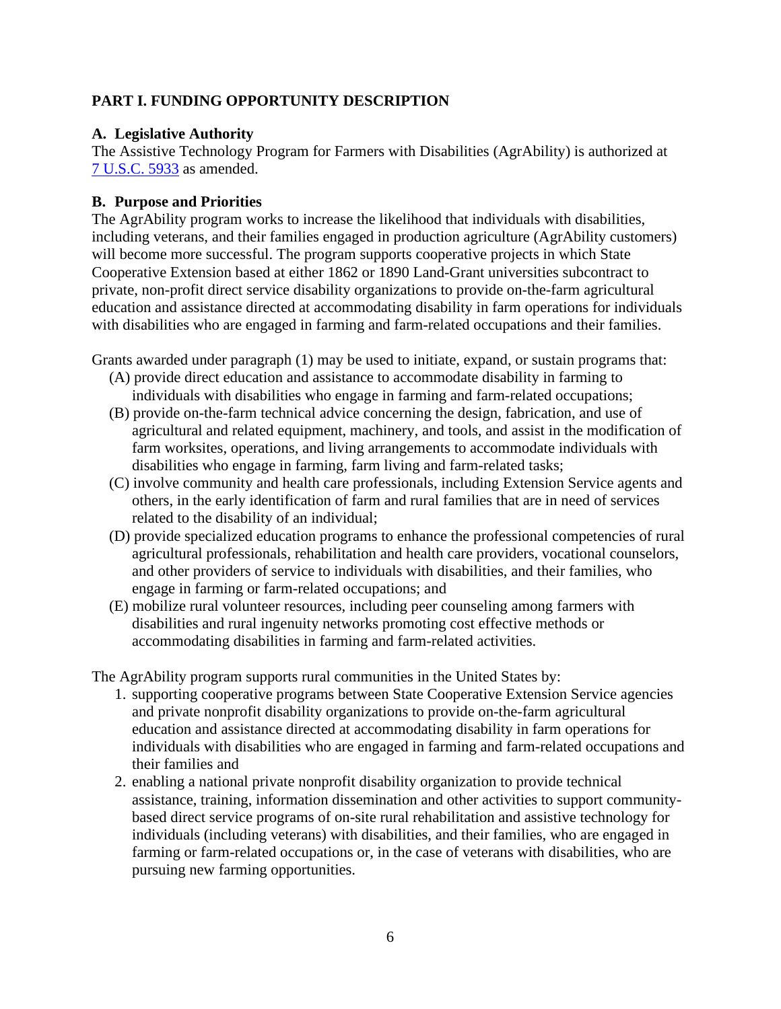#### **PART I. FUNDING OPPORTUNITY DESCRIPTION**

#### <span id="page-5-0"></span>**A. Legislative Authority**

The Assistive Technology Program for Farmers with Disabilities (AgrAbility) is authorized at [7 U.S.C. 5933](https://uscode.house.gov/view.xhtml?req=(title:7%20section:5933%20edition:prelim)%20OR%20(granuleid:USC-prelim-title7-section5933)&f=treesort&edition=prelim&num=0&jumpTo=true) as amended.

#### <span id="page-5-1"></span>**B. Purpose and Priorities**

The AgrAbility program works to increase the likelihood that individuals with disabilities, including veterans, and their families engaged in production agriculture (AgrAbility customers) will become more successful. The program supports cooperative projects in which State Cooperative Extension based at either 1862 or 1890 Land-Grant universities subcontract to private, non-profit direct service disability organizations to provide on-the-farm agricultural education and assistance directed at accommodating disability in farm operations for individuals with disabilities who are engaged in farming and farm-related occupations and their families.

Grants awarded under paragraph (1) may be used to initiate, expand, or sustain programs that:

- (A) provide direct education and assistance to accommodate disability in farming to individuals with disabilities who engage in farming and farm-related occupations;
- (B) provide on-the-farm technical advice concerning the design, fabrication, and use of agricultural and related equipment, machinery, and tools, and assist in the modification of farm worksites, operations, and living arrangements to accommodate individuals with disabilities who engage in farming, farm living and farm-related tasks;
- (C) involve community and health care professionals, including Extension Service agents and others, in the early identification of farm and rural families that are in need of services related to the disability of an individual;
- (D) provide specialized education programs to enhance the professional competencies of rural agricultural professionals, rehabilitation and health care providers, vocational counselors, and other providers of service to individuals with disabilities, and their families, who engage in farming or farm-related occupations; and
- (E) mobilize rural volunteer resources, including peer counseling among farmers with disabilities and rural ingenuity networks promoting cost effective methods or accommodating disabilities in farming and farm-related activities.

The AgrAbility program supports rural communities in the United States by:

- 1. supporting cooperative programs between State Cooperative Extension Service agencies and private nonprofit disability organizations to provide on-the-farm agricultural education and assistance directed at accommodating disability in farm operations for individuals with disabilities who are engaged in farming and farm-related occupations and their families and
- 2. enabling a national private nonprofit disability organization to provide technical assistance, training, information dissemination and other activities to support communitybased direct service programs of on-site rural rehabilitation and assistive technology for individuals (including veterans) with disabilities, and their families, who are engaged in farming or farm-related occupations or, in the case of veterans with disabilities, who are pursuing new farming opportunities.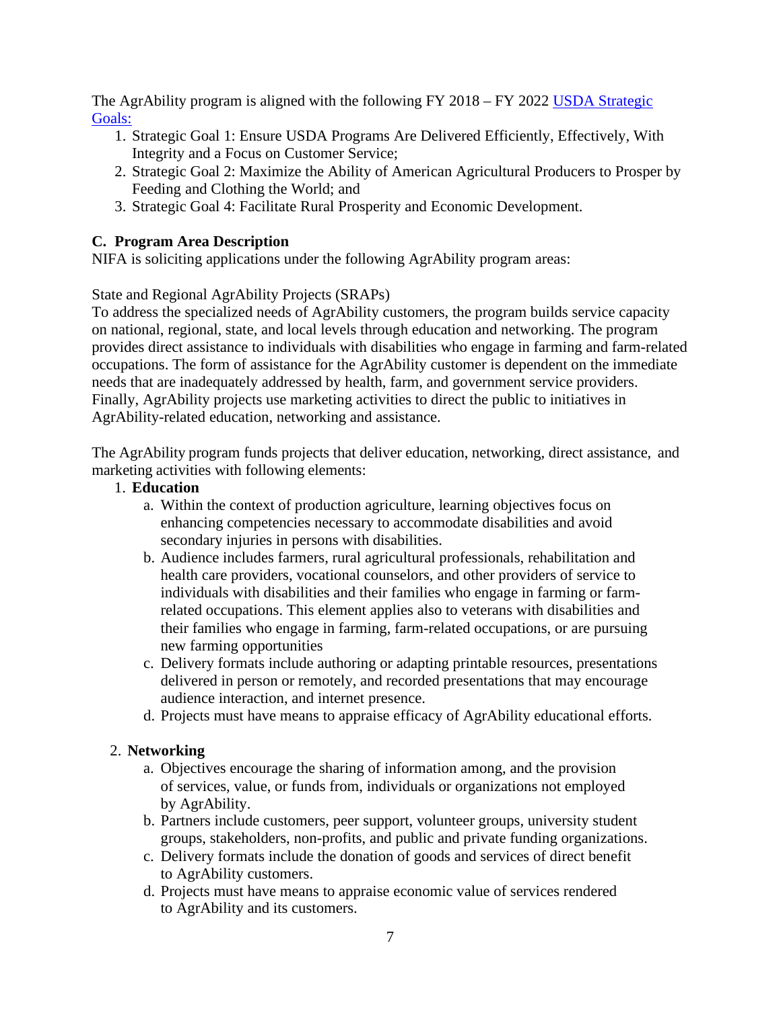The AgrAbility program is aligned with the following FY 2018 – FY 2022 USDA Strategic [Goals:](https://www.usda.gov/sites/default/files/documents/usda-strategic-plan-2018-2022.pdf) 

- 1. Strategic Goal 1: Ensure USDA Programs Are Delivered Efficiently, Effectively, With Integrity and a Focus on Customer Service;
- 2. Strategic Goal 2: Maximize the Ability of American Agricultural Producers to Prosper by Feeding and Clothing the World; and
- 3. Strategic Goal 4: Facilitate Rural Prosperity and Economic Development.

#### <span id="page-6-0"></span>**C. Program Area Description**

NIFA is soliciting applications under the following AgrAbility program areas:

State and Regional AgrAbility Projects (SRAPs)

To address the specialized needs of AgrAbility customers, the program builds service capacity on national, regional, state, and local levels through education and networking. The program provides direct assistance to individuals with disabilities who engage in farming and farm-related occupations. The form of assistance for the AgrAbility customer is dependent on the immediate needs that are inadequately addressed by health, farm, and government service providers. Finally, AgrAbility projects use marketing activities to direct the public to initiatives in AgrAbility-related education, networking and assistance.

The AgrAbility program funds projects that deliver education, networking, direct assistance, and marketing activities with following elements:

- 1. **Education**
	- a. Within the context of production agriculture, learning objectives focus on enhancing competencies necessary to accommodate disabilities and avoid secondary injuries in persons with disabilities.
	- b. Audience includes farmers, rural agricultural professionals, rehabilitation and health care providers, vocational counselors, and other providers of service to individuals with disabilities and their families who engage in farming or farmrelated occupations. This element applies also to veterans with disabilities and their families who engage in farming, farm-related occupations, or are pursuing new farming opportunities
	- c. Delivery formats include authoring or adapting printable resources, presentations delivered in person or remotely, and recorded presentations that may encourage audience interaction, and internet presence.
	- d. Projects must have means to appraise efficacy of AgrAbility educational efforts.

#### 2. **Networking**

- a. Objectives encourage the sharing of information among, and the provision of services, value, or funds from, individuals or organizations not employed by AgrAbility.
- b. Partners include customers, peer support, volunteer groups, university student groups, stakeholders, non-profits, and public and private funding organizations.
- c. Delivery formats include the donation of goods and services of direct benefit to AgrAbility customers.
- d. Projects must have means to appraise economic value of services rendered to AgrAbility and its customers.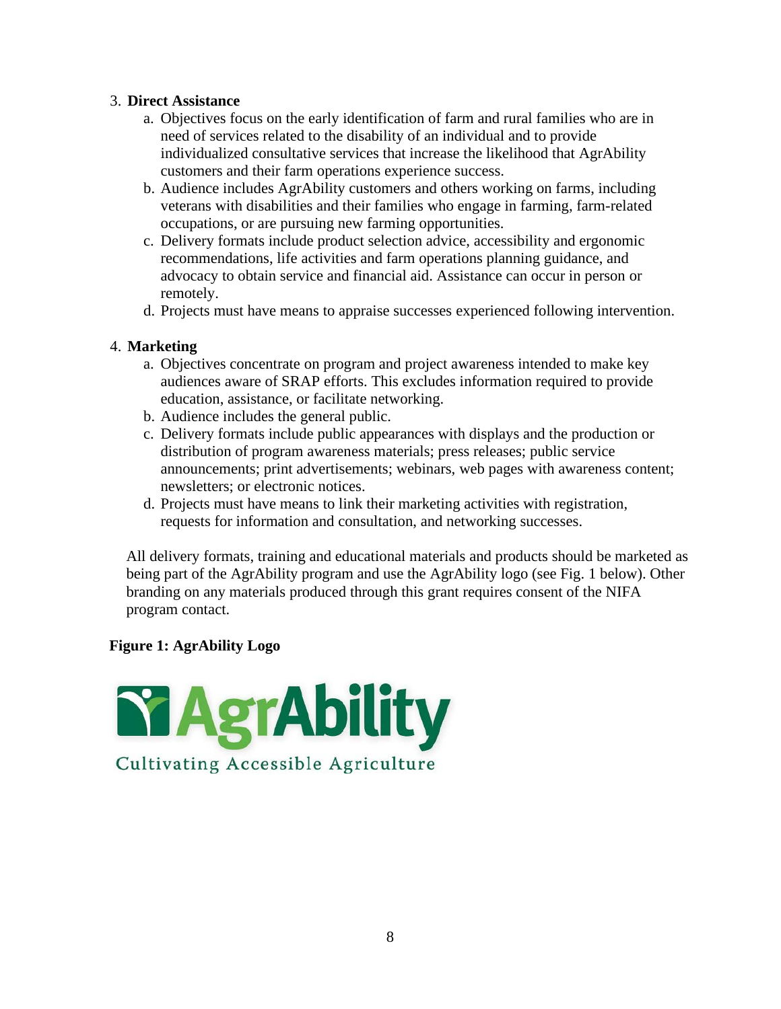#### 3. **Direct Assistance**

- a. Objectives focus on the early identification of farm and rural families who are in need of services related to the disability of an individual and to provide individualized consultative services that increase the likelihood that AgrAbility customers and their farm operations experience success.
- b. Audience includes AgrAbility customers and others working on farms, including veterans with disabilities and their families who engage in farming, farm-related occupations, or are pursuing new farming opportunities.
- c. Delivery formats include product selection advice, accessibility and ergonomic recommendations, life activities and farm operations planning guidance, and advocacy to obtain service and financial aid. Assistance can occur in person or remotely.
- d. Projects must have means to appraise successes experienced following intervention.

#### 4. **Marketing**

- a. Objectives concentrate on program and project awareness intended to make key audiences aware of SRAP efforts. This excludes information required to provide education, assistance, or facilitate networking.
- b. Audience includes the general public.
- c. Delivery formats include public appearances with displays and the production or distribution of program awareness materials; press releases; public service announcements; print advertisements; webinars, web pages with awareness content; newsletters; or electronic notices.
- d. Projects must have means to link their marketing activities with registration, requests for information and consultation, and networking successes.

All delivery formats, training and educational materials and products should be marketed as being part of the AgrAbility program and use the AgrAbility logo (see Fig. 1 below). Other branding on any materials produced through this grant requires consent of the NIFA program contact.

#### **Figure 1: AgrAbility Logo**

<span id="page-7-0"></span>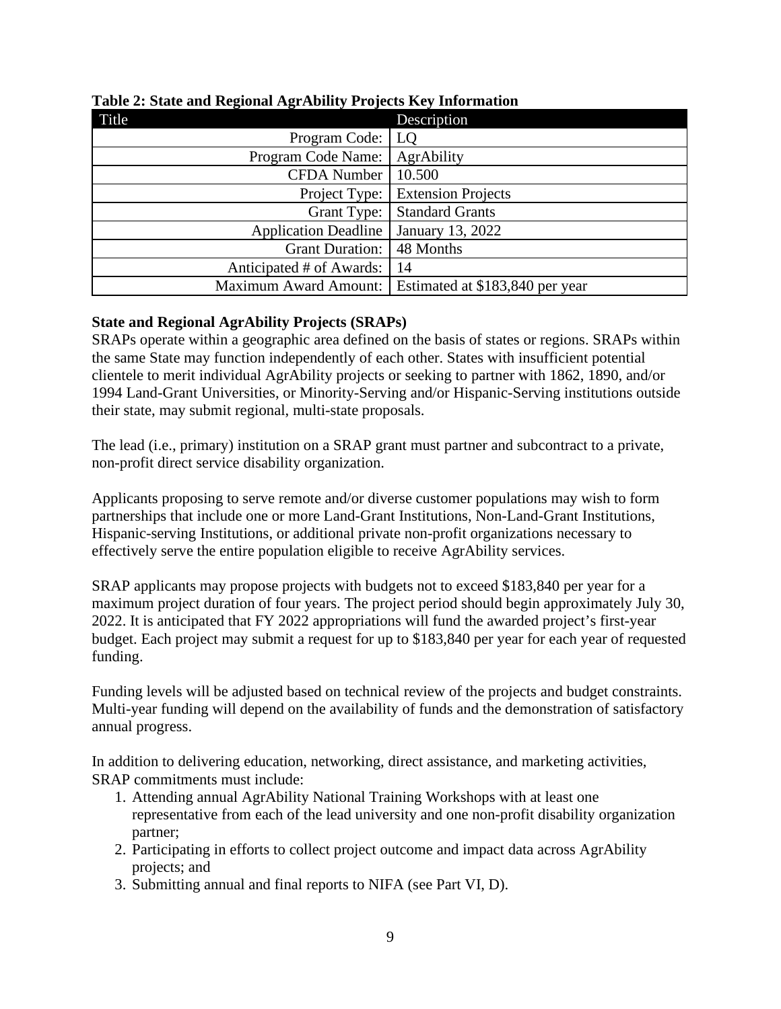| Title                        | Description                     |
|------------------------------|---------------------------------|
| Program Code:                | LQ                              |
| Program Code Name:           | AgrAbility                      |
| <b>CFDA Number</b>           | 10.500                          |
| Project Type:                | <b>Extension Projects</b>       |
| Grant Type:                  | <b>Standard Grants</b>          |
| <b>Application Deadline</b>  | January 13, 2022                |
| <b>Grant Duration:</b>       | 48 Months                       |
| Anticipated # of Awards:     | 14                              |
| <b>Maximum Award Amount:</b> | Estimated at \$183,840 per year |

#### **Table 2: State and Regional AgrAbility Projects Key Information**

#### **State and Regional AgrAbility Projects (SRAPs)**

SRAPs operate within a geographic area defined on the basis of states or regions. SRAPs within the same State may function independently of each other. States with insufficient potential clientele to merit individual AgrAbility projects or seeking to partner with 1862, 1890, and/or 1994 Land-Grant Universities, or Minority-Serving and/or Hispanic-Serving institutions outside their state, may submit regional, multi-state proposals.

The lead (i.e., primary) institution on a SRAP grant must partner and subcontract to a private, non-profit direct service disability organization.

Applicants proposing to serve remote and/or diverse customer populations may wish to form partnerships that include one or more Land-Grant Institutions, Non-Land-Grant Institutions, Hispanic-serving Institutions, or additional private non-profit organizations necessary to effectively serve the entire population eligible to receive AgrAbility services.

SRAP applicants may propose projects with budgets not to exceed \$183,840 per year for a maximum project duration of four years. The project period should begin approximately July 30, 2022. It is anticipated that FY 2022 appropriations will fund the awarded project's first-year budget. Each project may submit a request for up to \$183,840 per year for each year of requested funding.

Funding levels will be adjusted based on technical review of the projects and budget constraints. Multi-year funding will depend on the availability of funds and the demonstration of satisfactory annual progress.

In addition to delivering education, networking, direct assistance, and marketing activities, SRAP commitments must include:

- 1. Attending annual AgrAbility National Training Workshops with at least one representative from each of the lead university and one non-profit disability organization partner;
- 2. Participating in efforts to collect project outcome and impact data across AgrAbility projects; and
- 3. Submitting annual and final reports to NIFA (see Part VI, D).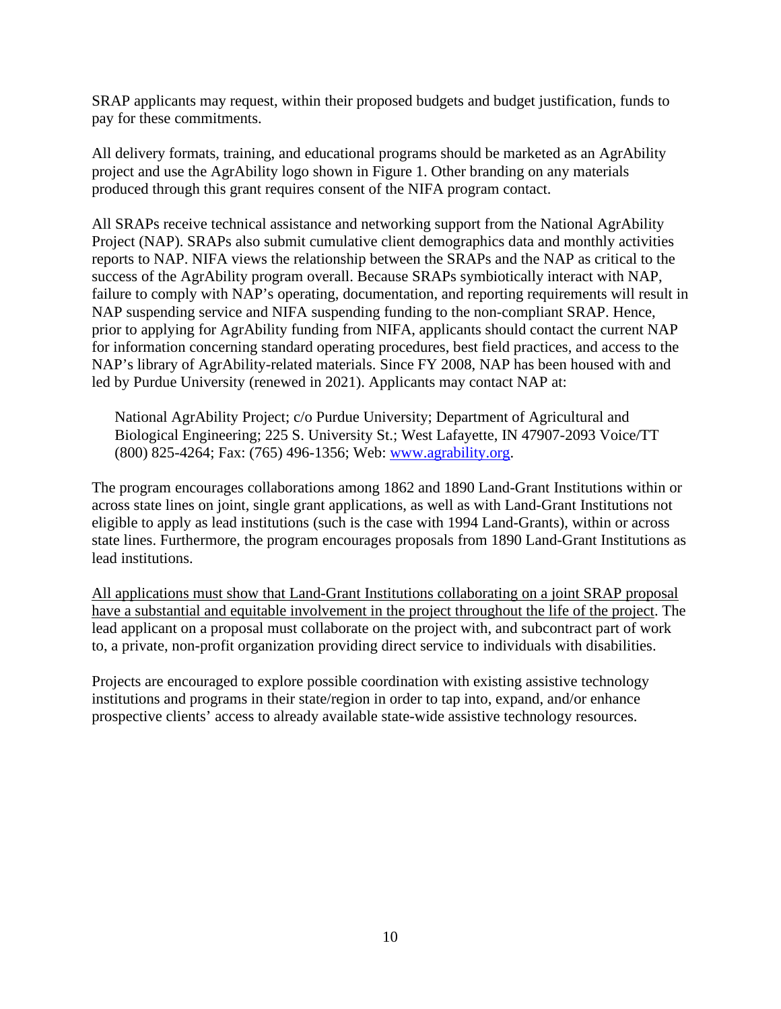SRAP applicants may request, within their proposed budgets and budget justification, funds to pay for these commitments.

All delivery formats, training, and educational programs should be marketed as an AgrAbility project and use the AgrAbility logo shown in Figure 1. Other branding on any materials produced through this grant requires consent of the NIFA program contact.

All SRAPs receive technical assistance and networking support from the National AgrAbility Project (NAP). SRAPs also submit cumulative client demographics data and monthly activities reports to NAP. NIFA views the relationship between the SRAPs and the NAP as critical to the success of the AgrAbility program overall. Because SRAPs symbiotically interact with NAP, failure to comply with NAP's operating, documentation, and reporting requirements will result in NAP suspending service and NIFA suspending funding to the non-compliant SRAP. Hence, prior to applying for AgrAbility funding from NIFA, applicants should contact the current NAP for information concerning standard operating procedures, best field practices, and access to the NAP's library of AgrAbility-related materials. Since FY 2008, NAP has been housed with and led by Purdue University (renewed in 2021). Applicants may contact NAP at:

National AgrAbility Project; c/o Purdue University; Department of Agricultural and Biological Engineering; 225 S. University St.; West Lafayette, IN 47907-2093 Voice/TT (800) 825-4264; Fax: (765) 496-1356; Web: [www.agrability.org.](http://www.agrability.org/)

The program encourages collaborations among 1862 and 1890 Land-Grant Institutions within or across state lines on joint, single grant applications, as well as with Land-Grant Institutions not eligible to apply as lead institutions (such is the case with 1994 Land-Grants), within or across state lines. Furthermore, the program encourages proposals from 1890 Land-Grant Institutions as lead institutions.

All applications must show that Land-Grant Institutions collaborating on a joint SRAP proposal have a substantial and equitable involvement in the project throughout the life of the project. The lead applicant on a proposal must collaborate on the project with, and subcontract part of work to, a private, non-profit organization providing direct service to individuals with disabilities.

Projects are encouraged to explore possible coordination with existing assistive technology institutions and programs in their state/region in order to tap into, expand, and/or enhance prospective clients' access to already available state-wide assistive technology resources.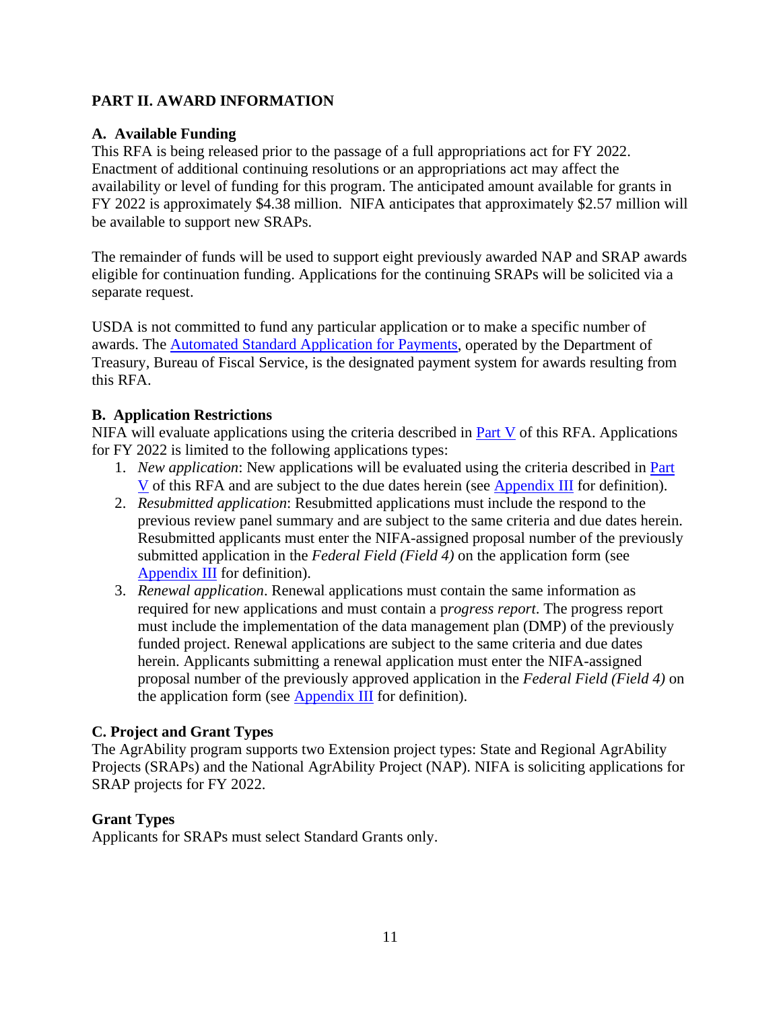#### <span id="page-10-0"></span>**PART II. AWARD INFORMATION**

#### <span id="page-10-1"></span>**A. Available Funding**

This RFA is being released prior to the passage of a full appropriations act for FY 2022. Enactment of additional continuing resolutions or an appropriations act may affect the availability or level of funding for this program. The anticipated amount available for grants in FY 2022 is approximately \$4.38 million. NIFA anticipates that approximately \$2.57 million will be available to support new SRAPs.

The remainder of funds will be used to support eight previously awarded NAP and SRAP awards eligible for continuation funding. Applications for the continuing SRAPs will be solicited via a separate request.

USDA is not committed to fund any particular application or to make a specific number of awards. The [Automated Standard Application for Payments,](https://www.fiscal.treasury.gov/fsservices/gov/pmt/asap/asap_home.htm) operated by the Department of Treasury, Bureau of Fiscal Service, is the designated payment system for awards resulting from this RFA.

#### <span id="page-10-2"></span>**B. Application Restrictions**

NIFA will evaluate applications using the criteria described in **Part V** of this RFA. Applications for FY 2022 is limited to the following applications types:

- 1. *New application*: New applications will be evaluated using the criteria described in [Part](#page-20-1)  [V](#page-20-1) of this RFA and are subject to the due dates herein (see [Appendix III](#page-28-0) for definition).
- 2. *Resubmitted application*: Resubmitted applications must include the respond to the previous review panel summary and are subject to the same criteria and due dates herein. Resubmitted applicants must enter the NIFA-assigned proposal number of the previously submitted application in the *Federal Field (Field 4)* on the application form (see [Appendix III](#page-28-0) for definition).
- 3. *Renewal application*. Renewal applications must contain the same information as required for new applications and must contain a p*rogress report*. The progress report must include the implementation of the data management plan (DMP) of the previously funded project. Renewal applications are subject to the same criteria and due dates herein. Applicants submitting a renewal application must enter the NIFA-assigned proposal number of the previously approved application in the *Federal Field (Field 4)* on the application form (see [Appendix III](#page-28-0) for definition).

#### <span id="page-10-3"></span>**C. Project and Grant Types**

The AgrAbility program supports two Extension project types: State and Regional AgrAbility Projects (SRAPs) and the National AgrAbility Project (NAP). NIFA is soliciting applications for SRAP projects for FY 2022.

#### **Grant Types**

<span id="page-10-4"></span>Applicants for SRAPs must select Standard Grants only.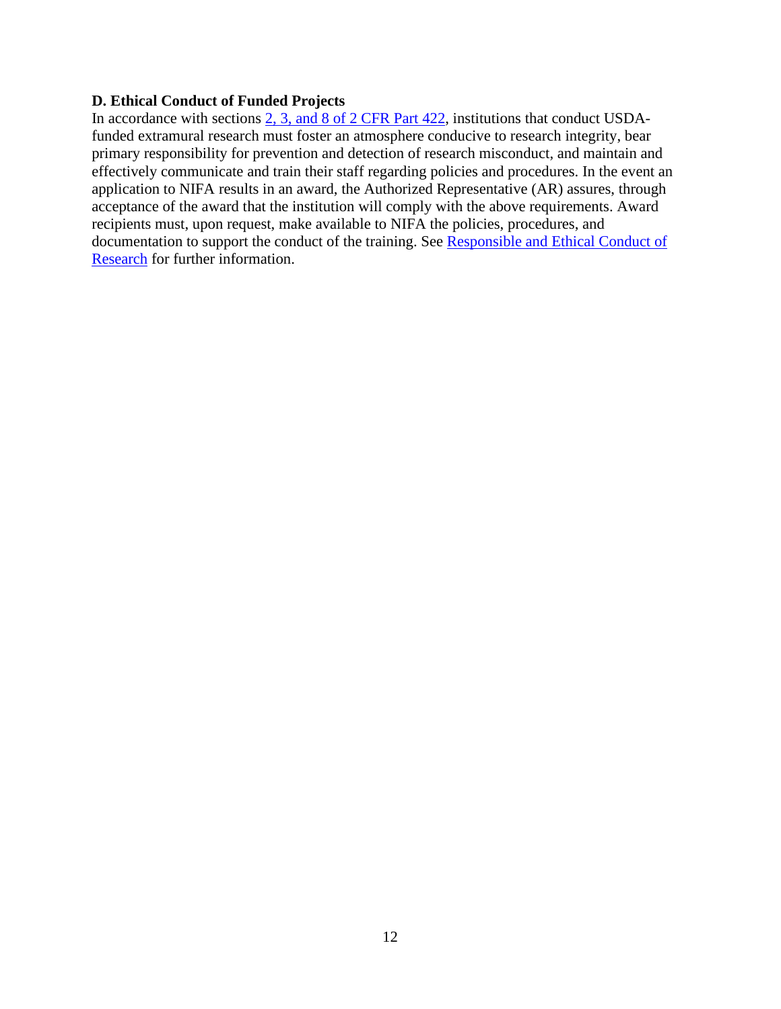#### **D. Ethical Conduct of Funded Projects**

In accordance with sections [2, 3, and 8 of 2 CFR Part 422,](https://www.ecfr.gov/current/title-2/subtitle-B/chapter-IV/part-422?toc=1) institutions that conduct USDAfunded extramural research must foster an atmosphere conducive to research integrity, bear primary responsibility for prevention and detection of research misconduct, and maintain and effectively communicate and train their staff regarding policies and procedures. In the event an application to NIFA results in an award, the Authorized Representative (AR) assures, through acceptance of the award that the institution will comply with the above requirements. Award recipients must, upon request, make available to NIFA the policies, procedures, and documentation to support the conduct of the training. See Responsible and Ethical Conduct of [Research](https://nifa.usda.gov/responsible-and-ethical-conduct-research) for further information.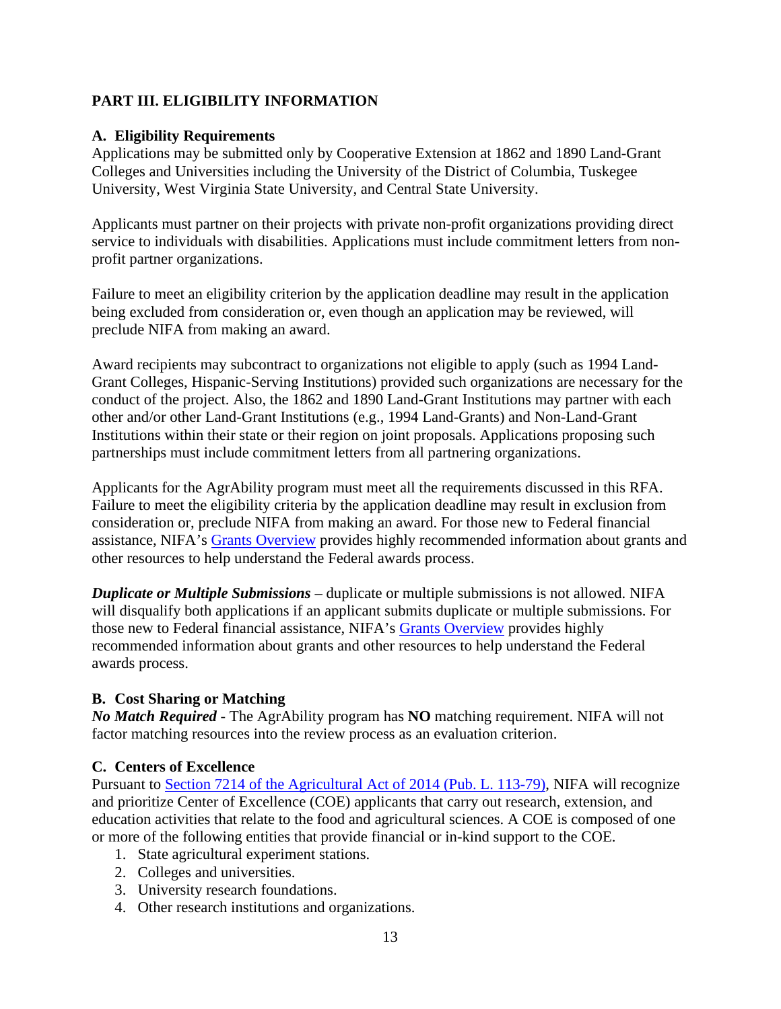#### <span id="page-12-0"></span>**PART III. ELIGIBILITY INFORMATION**

#### <span id="page-12-1"></span>**A. Eligibility Requirements**

Applications may be submitted only by Cooperative Extension at 1862 and 1890 Land-Grant Colleges and Universities including the University of the District of Columbia, Tuskegee University, West Virginia State University, and Central State University.

Applicants must partner on their projects with private non-profit organizations providing direct service to individuals with disabilities. Applications must include commitment letters from nonprofit partner organizations.

Failure to meet an eligibility criterion by the application deadline may result in the application being excluded from consideration or, even though an application may be reviewed, will preclude NIFA from making an award.

Award recipients may subcontract to organizations not eligible to apply (such as 1994 Land-Grant Colleges, Hispanic-Serving Institutions) provided such organizations are necessary for the conduct of the project. Also, the 1862 and 1890 Land-Grant Institutions may partner with each other and/or other Land-Grant Institutions (e.g., 1994 Land-Grants) and Non-Land-Grant Institutions within their state or their region on joint proposals. Applications proposing such partnerships must include commitment letters from all partnering organizations.

Applicants for the AgrAbility program must meet all the requirements discussed in this RFA. Failure to meet the eligibility criteria by the application deadline may result in exclusion from consideration or, preclude NIFA from making an award. For those new to Federal financial assistance, NIFA's [Grants Overview](https://nifa.usda.gov/resource/grants-overview) provides highly recommended information about grants and other resources to help understand the Federal awards process.

*Duplicate or Multiple Submissions* – duplicate or multiple submissions is not allowed. NIFA will disqualify both applications if an applicant submits duplicate or multiple submissions. For those new to Federal financial assistance, NIFA's [Grants Overview](https://nifa.usda.gov/resource/grants-overview) provides highly recommended information about grants and other resources to help understand the Federal awards process.

#### <span id="page-12-2"></span>**B. Cost Sharing or Matching**

*No Match Required* - The AgrAbility program has **NO** matching requirement. NIFA will not factor matching resources into the review process as an evaluation criterion.

#### <span id="page-12-3"></span>**C. Centers of Excellence**

Pursuant to Section 7214 of [the Agricultural Act of 2014 \(Pub. L. 113-79\),](https://www.govinfo.gov/content/pkg/PLAW-113publ79/html/PLAW-113publ79.htm) NIFA will recognize and prioritize Center of Excellence (COE) applicants that carry out research, extension, and education activities that relate to the food and agricultural sciences. A COE is composed of one or more of the following entities that provide financial or in-kind support to the COE.

- 1. State agricultural experiment stations.
- 2. Colleges and universities.
- 3. University research foundations.
- 4. Other research institutions and organizations.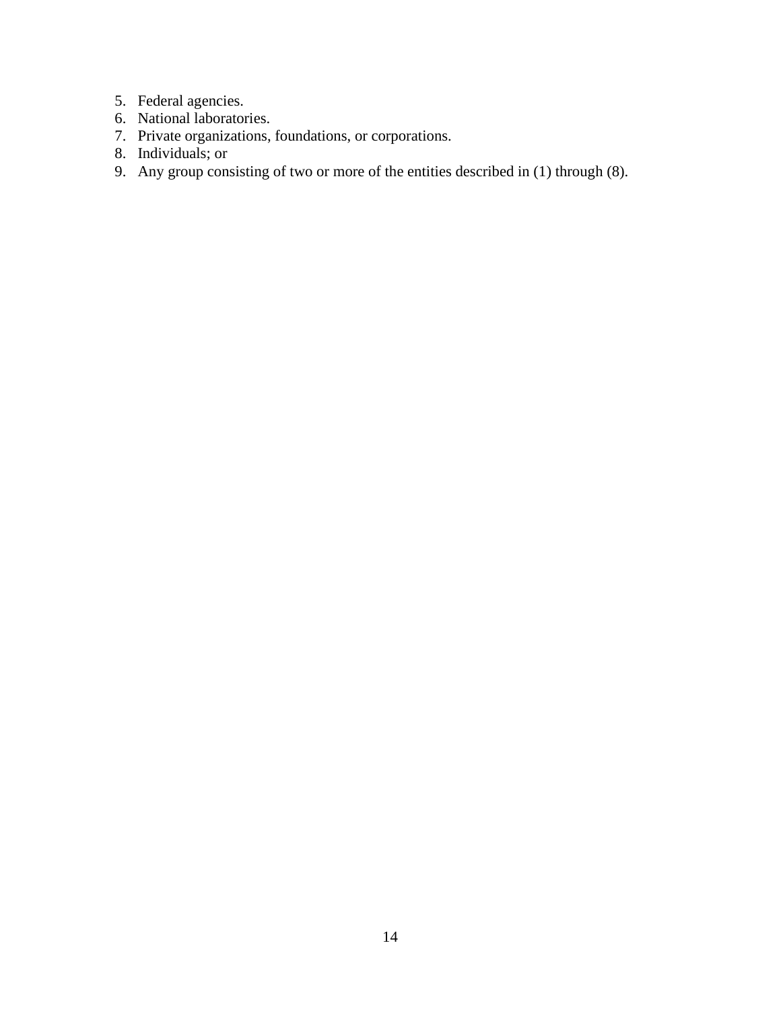- 5. Federal agencies.
- 6. National laboratories.
- 7. Private organizations, foundations, or corporations.
- 8. Individuals; or
- 9. Any group consisting of two or more of the entities described in (1) through (8).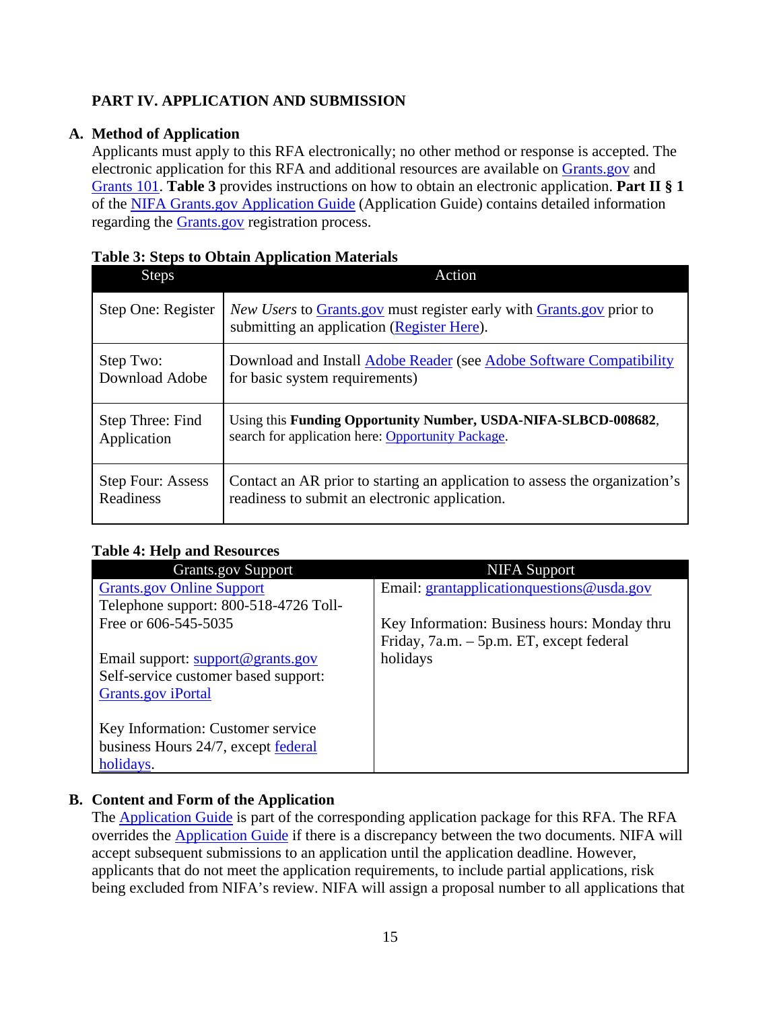#### <span id="page-14-0"></span>**PART IV. APPLICATION AND SUBMISSION**

#### **A. Method of Application**

<span id="page-14-1"></span>Applicants must apply to this RFA electronically; no other method or response is accepted. The electronic application for this RFA and additional resources are available on [Grants.gov](https://www.grants.gov/) and [Grants 101.](https://www.grants.gov/web/grants/learn-grants/grants-101/pre-award-phase.html/) **Table 3** provides instructions on how to obtain an electronic application. **Part II § 1** of the [NIFA Grants.gov Application Guide](https://apply07.grants.gov/apply/opportunities/instructions/PKG00249520-instructions.pdf) (Application Guide) contains detailed information regarding the [Grants.gov](https://www.grants.gov/) registration process.

| <b>Steps</b>             | Action                                                                                                                                      |
|--------------------------|---------------------------------------------------------------------------------------------------------------------------------------------|
| Step One: Register       | <i>New Users</i> to <b>Grants</b> , gov must register early with <b>Grants</b> , gov prior to<br>submitting an application (Register Here). |
| Step Two:                | Download and Install Adobe Reader (see Adobe Software Compatibility                                                                         |
| Download Adobe           | for basic system requirements)                                                                                                              |
| Step Three: Find         | Using this Funding Opportunity Number, USDA-NIFA-SLBCD-008682,                                                                              |
| Application              | search for application here: Opportunity Package.                                                                                           |
| <b>Step Four: Assess</b> | Contact an AR prior to starting an application to assess the organization's                                                                 |
| Readiness                | readiness to submit an electronic application.                                                                                              |

#### <span id="page-14-3"></span>**Table 3: Steps to Obtain Application Materials**

#### <span id="page-14-4"></span>**Table 4: Help and Resources**

| <b>Grants.gov Support</b>             | <b>NIFA</b> Support                          |
|---------------------------------------|----------------------------------------------|
| <b>Grants.gov Online Support</b>      | Email: grantapplication questions @ usda.gov |
| Telephone support: 800-518-4726 Toll- |                                              |
| Free or 606-545-5035                  | Key Information: Business hours: Monday thru |
|                                       | Friday, 7a.m. – 5p.m. ET, except federal     |
| Email support: support@grants.gov     | holidays                                     |
| Self-service customer based support:  |                                              |
| <b>Grants.gov</b> iPortal             |                                              |
|                                       |                                              |
| Key Information: Customer service     |                                              |
| business Hours 24/7, except federal   |                                              |
| holidays.                             |                                              |

#### **B. Content and Form of the Application**

<span id="page-14-2"></span>The [Application Guide](https://apply07.grants.gov/apply/opportunities/instructions/PKG00249520-instructions.pdf) is part of the corresponding application package for this RFA. The RFA overrides the [Application Guide](https://apply07.grants.gov/apply/opportunities/instructions/PKG00249520-instructions.pdf) if there is a discrepancy between the two documents. NIFA will accept subsequent submissions to an application until the application deadline. However, applicants that do not meet the application requirements, to include partial applications, risk being excluded from NIFA's review. NIFA will assign a proposal number to all applications that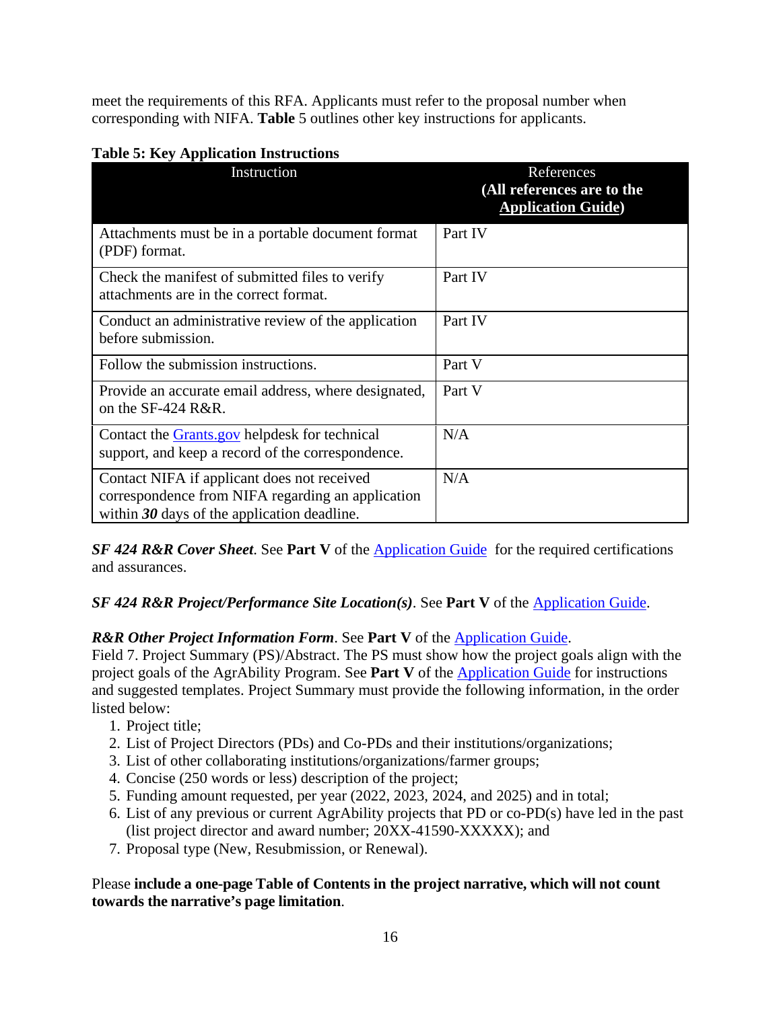meet the requirements of this RFA. Applicants must refer to the proposal number when corresponding with NIFA. **Table** 5 outlines other key instructions for applicants.

| Instruction                                                                                                                                       | References<br>(All references are to the<br><b>Application Guide)</b> |
|---------------------------------------------------------------------------------------------------------------------------------------------------|-----------------------------------------------------------------------|
| Attachments must be in a portable document format<br>(PDF) format.                                                                                | Part IV                                                               |
| Check the manifest of submitted files to verify<br>attachments are in the correct format.                                                         | Part IV                                                               |
| Conduct an administrative review of the application<br>before submission.                                                                         | Part IV                                                               |
| Follow the submission instructions.                                                                                                               | Part V                                                                |
| Provide an accurate email address, where designated,<br>on the SF-424 R&R.                                                                        | Part V                                                                |
| Contact the <b>Grants</b> gov helpdesk for technical<br>support, and keep a record of the correspondence.                                         | N/A                                                                   |
| Contact NIFA if applicant does not received<br>correspondence from NIFA regarding an application<br>within $30$ days of the application deadline. | N/A                                                                   |

#### <span id="page-15-0"></span>**Table 5: Key Application Instructions**

**SF 424 R&R Cover Sheet.** See **Part V** of the **Application Guide** for the required certifications and assurances.

#### *SF 424 R&R Project/Performance Site Location(s)*. See Part V of the **Application Guide**.

#### *R&R Other Project Information Form*. See **Part V** of the [Application Guide.](https://apply07.grants.gov/apply/opportunities/instructions/PKG00249520-instructions.pdf)

Field 7. Project Summary (PS)/Abstract. The PS must show how the project goals align with the project goals of the AgrAbility Program. See **Part V** of the [Application Guide](https://apply07.grants.gov/apply/opportunities/instructions/PKG00249520-instructions.pdf) for instructions and suggested templates. Project Summary must provide the following information, in the order listed below:

- 1. Project title;
- 2. List of Project Directors (PDs) and Co-PDs and their institutions/organizations;
- 3. List of other collaborating institutions/organizations/farmer groups;
- 4. Concise (250 words or less) description of the project;
- 5. Funding amount requested, per year (2022, 2023, 2024, and 2025) and in total;
- 6. List of any previous or current AgrAbility projects that PD or co-PD(s) have led in the past (list project director and award number; 20XX-41590-XXXXX); and
- 7. Proposal type (New, Resubmission, or Renewal).

#### Please **include a one-page Table of Contents in the project narrative, which will not count towards the narrative's page limitation**.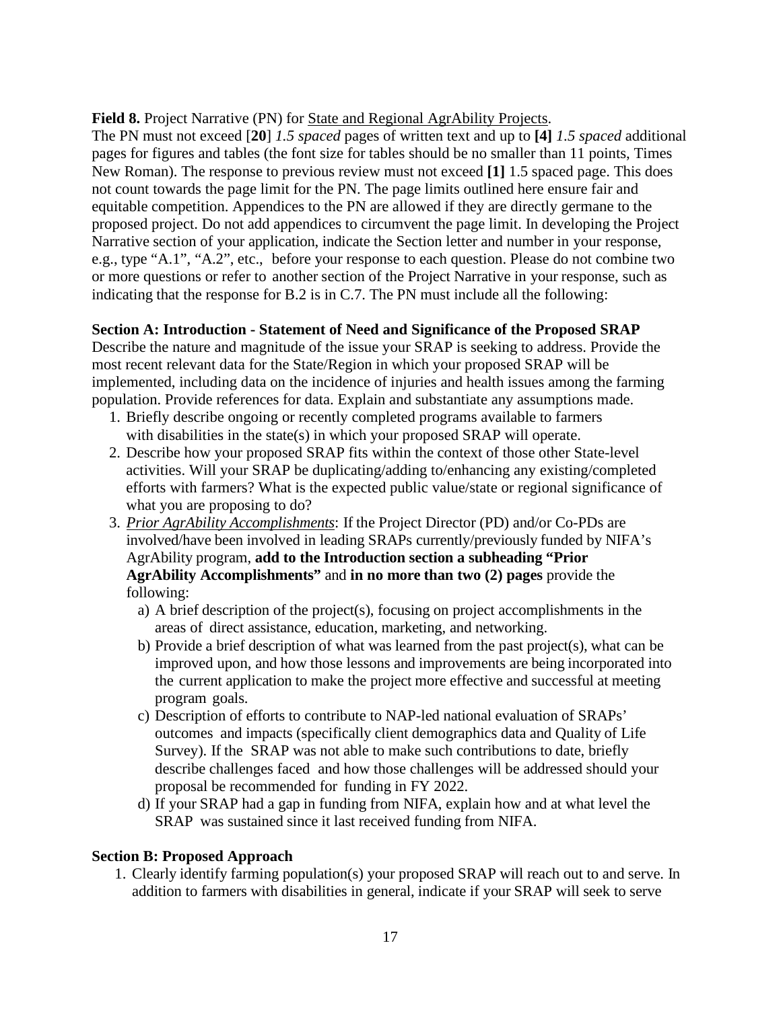#### **Field 8.** Project Narrative (PN) for State and Regional AgrAbility Projects.

The PN must not exceed [**20**] *1.5 spaced* pages of written text and up to **[4]** *1.5 spaced* additional pages for figures and tables (the font size for tables should be no smaller than 11 points, Times New Roman). The response to previous review must not exceed **[1]** 1.5 spaced page. This does not count towards the page limit for the PN. The page limits outlined here ensure fair and equitable competition. Appendices to the PN are allowed if they are directly germane to the proposed project. Do not add appendices to circumvent the page limit. In developing the Project Narrative section of your application, indicate the Section letter and number in your response, e.g., type "A.1", "A.2", etc., before your response to each question. Please do not combine two or more questions or refer to another section of the Project Narrative in your response, such as indicating that the response for B.2 is in C.7. The PN must include all the following:

#### **Section A: Introduction - Statement of Need and Significance of the Proposed SRAP**

Describe the nature and magnitude of the issue your SRAP is seeking to address. Provide the most recent relevant data for the State/Region in which your proposed SRAP will be implemented, including data on the incidence of injuries and health issues among the farming population. Provide references for data. Explain and substantiate any assumptions made.

- 1. Briefly describe ongoing or recently completed programs available to farmers with disabilities in the state(s) in which your proposed SRAP will operate.
- 2. Describe how your proposed SRAP fits within the context of those other State-level activities. Will your SRAP be duplicating/adding to/enhancing any existing/completed efforts with farmers? What is the expected public value/state or regional significance of what you are proposing to do?
- 3. *Prior AgrAbility Accomplishments*: If the Project Director (PD) and/or Co-PDs are involved/have been involved in leading SRAPs currently/previously funded by NIFA's AgrAbility program, **add to the Introduction section a subheading "Prior AgrAbility Accomplishments"** and **in no more than two (2) pages** provide the following:
	- a) A brief description of the project(s), focusing on project accomplishments in the areas of direct assistance, education, marketing, and networking.
	- b) Provide a brief description of what was learned from the past project(s), what can be improved upon, and how those lessons and improvements are being incorporated into the current application to make the project more effective and successful at meeting program goals.
	- c) Description of efforts to contribute to NAP-led national evaluation of SRAPs' outcomes and impacts (specifically client demographics data and Quality of Life Survey). If the SRAP was not able to make such contributions to date, briefly describe challenges faced and how those challenges will be addressed should your proposal be recommended for funding in FY 2022.
	- d) If your SRAP had a gap in funding from NIFA, explain how and at what level the SRAP was sustained since it last received funding from NIFA.

#### **Section B: Proposed Approach**

1. Clearly identify farming population(s) your proposed SRAP will reach out to and serve. In addition to farmers with disabilities in general, indicate if your SRAP will seek to serve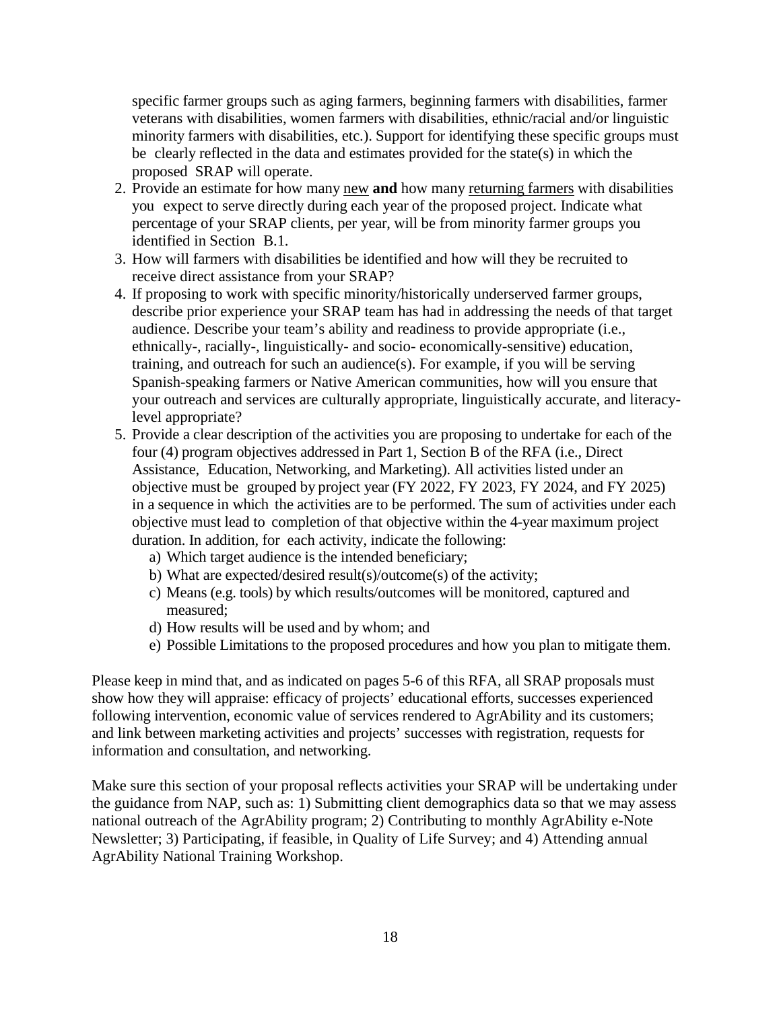specific farmer groups such as aging farmers, beginning farmers with disabilities, farmer veterans with disabilities, women farmers with disabilities, ethnic/racial and/or linguistic minority farmers with disabilities, etc.). Support for identifying these specific groups must be clearly reflected in the data and estimates provided for the state(s) in which the proposed SRAP will operate.

- 2. Provide an estimate for how many new **and** how many returning farmers with disabilities you expect to serve directly during each year of the proposed project. Indicate what percentage of your SRAP clients, per year, will be from minority farmer groups you identified in Section B.1.
- 3. How will farmers with disabilities be identified and how will they be recruited to receive direct assistance from your SRAP?
- 4. If proposing to work with specific minority/historically underserved farmer groups, describe prior experience your SRAP team has had in addressing the needs of that target audience. Describe your team's ability and readiness to provide appropriate (i.e., ethnically-, racially-, linguistically- and socio- economically-sensitive) education, training, and outreach for such an audience(s). For example, if you will be serving Spanish-speaking farmers or Native American communities, how will you ensure that your outreach and services are culturally appropriate, linguistically accurate, and literacylevel appropriate?
- 5. Provide a clear description of the activities you are proposing to undertake for each of the four (4) program objectives addressed in Part 1, Section B of the RFA (i.e., Direct Assistance, Education, Networking, and Marketing). All activities listed under an objective must be grouped by project year (FY 2022, FY 2023, FY 2024, and FY 2025) in a sequence in which the activities are to be performed. The sum of activities under each objective must lead to completion of that objective within the 4-year maximum project duration. In addition, for each activity, indicate the following:
	- a) Which target audience is the intended beneficiary;
	- b) What are expected/desired result(s)/outcome(s) of the activity;
	- c) Means (e.g. tools) by which results/outcomes will be monitored, captured and measured;
	- d) How results will be used and by whom; and
	- e) Possible Limitations to the proposed procedures and how you plan to mitigate them.

Please keep in mind that, and as indicated on pages 5-6 of this RFA, all SRAP proposals must show how they will appraise: efficacy of projects' educational efforts, successes experienced following intervention, economic value of services rendered to AgrAbility and its customers; and link between marketing activities and projects' successes with registration, requests for information and consultation, and networking.

Make sure this section of your proposal reflects activities your SRAP will be undertaking under the guidance from NAP, such as: 1) Submitting client demographics data so that we may assess national outreach of the AgrAbility program; 2) Contributing to monthly AgrAbility e-Note Newsletter; 3) Participating, if feasible, in Quality of Life Survey; and 4) Attending annual AgrAbility National Training Workshop.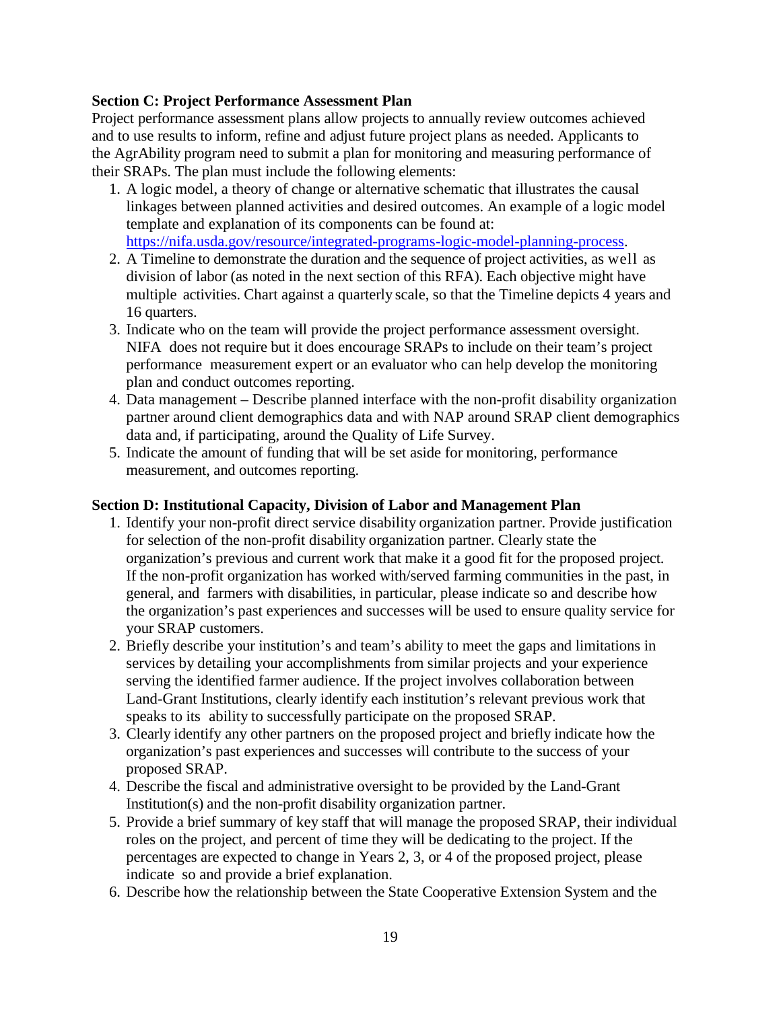#### **Section C: Project Performance Assessment Plan**

Project performance assessment plans allow projects to annually review outcomes achieved and to use results to inform, refine and adjust future project plans as needed. Applicants to the AgrAbility program need to submit a plan for monitoring and measuring performance of their SRAPs. The plan must include the following elements:

- 1. A logic model, a theory of change or alternative schematic that illustrates the causal linkages between planned activities and desired outcomes. An example of a logic model template and explanation of its components can be found at: [https://nifa.usda.gov/resource/integrated-programs-logic-model-planning-process.](https://nifa.usda.gov/resource/integrated-programs-logic-model-planning-process)
- 2. A Timeline to demonstrate the duration and the sequence of project activities, as well as division of labor (as noted in the next section of this RFA). Each objective might have multiple activities. Chart against a quarterly scale, so that the Timeline depicts 4 years and 16 quarters.
- 3. Indicate who on the team will provide the project performance assessment oversight. NIFA does not require but it does encourage SRAPs to include on their team's project performance measurement expert or an evaluator who can help develop the monitoring plan and conduct outcomes reporting.
- 4. Data management Describe planned interface with the non-profit disability organization partner around client demographics data and with NAP around SRAP client demographics data and, if participating, around the Quality of Life Survey.
- 5. Indicate the amount of funding that will be set aside for monitoring, performance measurement, and outcomes reporting.

#### **Section D: Institutional Capacity, Division of Labor and Management Plan**

- 1. Identify your non-profit direct service disability organization partner. Provide justification for selection of the non-profit disability organization partner. Clearly state the organization's previous and current work that make it a good fit for the proposed project. If the non-profit organization has worked with/served farming communities in the past, in general, and farmers with disabilities, in particular, please indicate so and describe how the organization's past experiences and successes will be used to ensure quality service for your SRAP customers.
- 2. Briefly describe your institution's and team's ability to meet the gaps and limitations in services by detailing your accomplishments from similar projects and your experience serving the identified farmer audience. If the project involves collaboration between Land-Grant Institutions, clearly identify each institution's relevant previous work that speaks to its ability to successfully participate on the proposed SRAP.
- 3. Clearly identify any other partners on the proposed project and briefly indicate how the organization's past experiences and successes will contribute to the success of your proposed SRAP.
- 4. Describe the fiscal and administrative oversight to be provided by the Land-Grant Institution(s) and the non-profit disability organization partner.
- 5. Provide a brief summary of key staff that will manage the proposed SRAP, their individual roles on the project, and percent of time they will be dedicating to the project. If the percentages are expected to change in Years 2, 3, or 4 of the proposed project, please indicate so and provide a brief explanation.
- 6. Describe how the relationship between the State Cooperative Extension System and the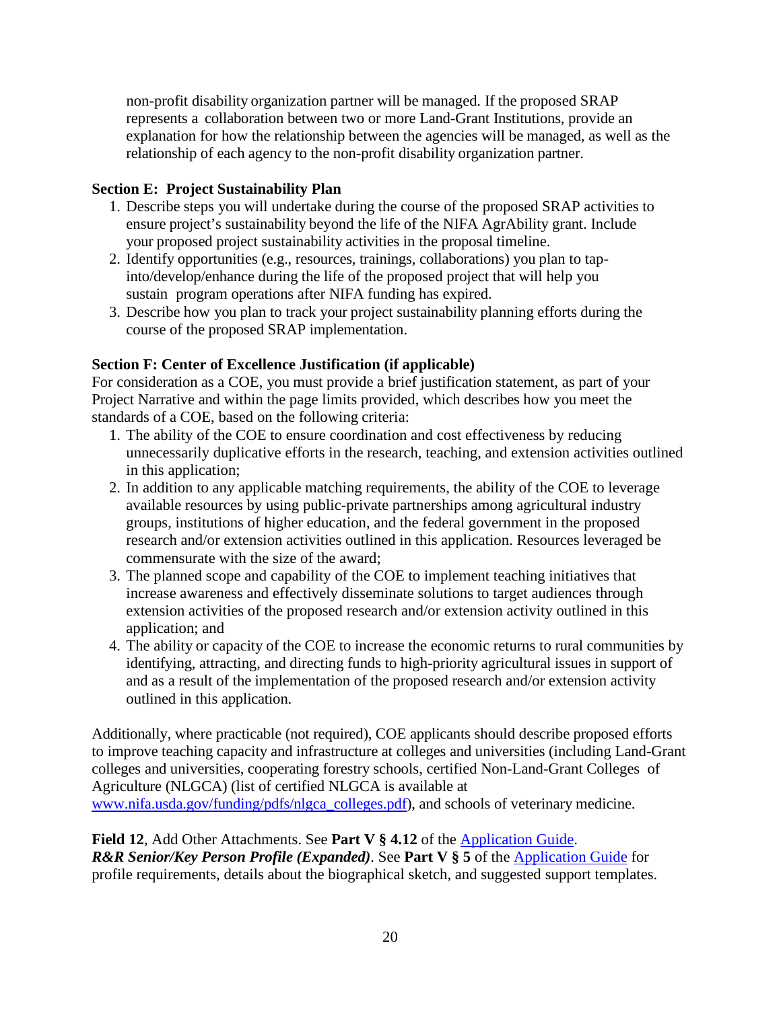non-profit disability organization partner will be managed. If the proposed SRAP represents a collaboration between two or more Land-Grant Institutions, provide an explanation for how the relationship between the agencies will be managed, as well as the relationship of each agency to the non-profit disability organization partner.

#### **Section E: Project Sustainability Plan**

- 1. Describe steps you will undertake during the course of the proposed SRAP activities to ensure project's sustainability beyond the life of the NIFA AgrAbility grant. Include your proposed project sustainability activities in the proposal timeline.
- 2. Identify opportunities (e.g., resources, trainings, collaborations) you plan to tapinto/develop/enhance during the life of the proposed project that will help you sustain program operations after NIFA funding has expired.
- 3. Describe how you plan to track your project sustainability planning efforts during the course of the proposed SRAP implementation.

#### **Section F: Center of Excellence Justification (if applicable)**

For consideration as a COE, you must provide a brief justification statement, as part of your Project Narrative and within the page limits provided, which describes how you meet the standards of a COE, based on the following criteria:

- 1. The ability of the COE to ensure coordination and cost effectiveness by reducing unnecessarily duplicative efforts in the research, teaching, and extension activities outlined in this application;
- 2. In addition to any applicable matching requirements, the ability of the COE to leverage available resources by using public-private partnerships among agricultural industry groups, institutions of higher education, and the federal government in the proposed research and/or extension activities outlined in this application. Resources leveraged be commensurate with the size of the award;
- 3. The planned scope and capability of the COE to implement teaching initiatives that increase awareness and effectively disseminate solutions to target audiences through extension activities of the proposed research and/or extension activity outlined in this application; and
- 4. The ability or capacity of the COE to increase the economic returns to rural communities by identifying, attracting, and directing funds to high-priority agricultural issues in support of and as a result of the implementation of the proposed research and/or extension activity outlined in this application.

Additionally, where practicable (not required), COE applicants should describe proposed efforts to improve teaching capacity and infrastructure at colleges and universities (including Land-Grant colleges and universities, cooperating forestry schools, certified Non-Land-Grant Colleges of Agriculture (NLGCA) (list of certified NLGCA is available at [www.nifa.usda.gov/funding/pdfs/nlgca\\_colleges.pdf\)](http://www.nifa.usda.gov/funding/pdfs/nlgca_colleges.pdf), and schools of veterinary medicine.

#### **Field 12**, Add Other Attachments. See **Part V § 4.12** of the [Application Guide.](https://apply07.grants.gov/apply/opportunities/instructions/PKG00249520-instructions.pdf)

*R&R Senior/Key Person Profile (Expanded)*. See **Part V § 5** of the [Application Guide](https://apply07.grants.gov/apply/opportunities/instructions/PKG00249520-instructions.pdf) for profile requirements, details about the biographical sketch, and suggested support templates.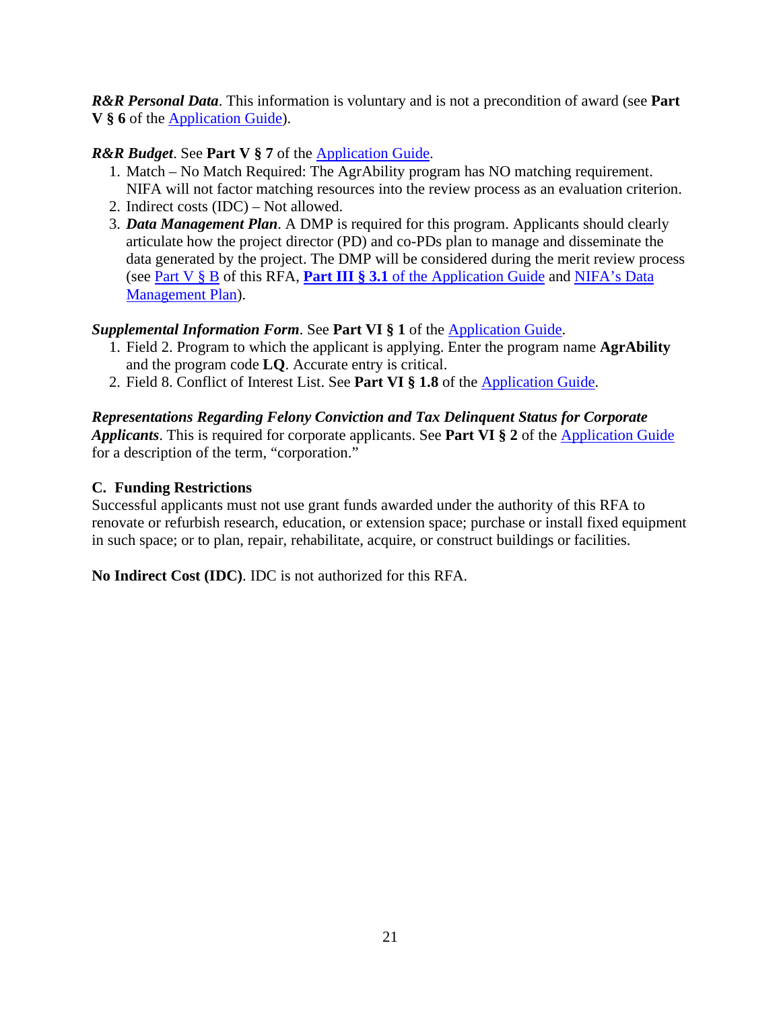*R&R Personal Data*. This information is voluntary and is not a precondition of award (see **Part V § 6** of the [Application Guide\)](https://apply07.grants.gov/apply/opportunities/instructions/PKG00249520-instructions.pdf).

#### *R&R Budget*. See **Part V** § 7 of the **Application Guide**.

- 1. Match No Match Required: The AgrAbility program has NO matching requirement. NIFA will not factor matching resources into the review process as an evaluation criterion.
- 2. Indirect costs (IDC) Not allowed.
- 3. *Data Management Plan*. A DMP is required for this program. Applicants should clearly articulate how the project director (PD) and co-PDs plan to manage and disseminate the data generated by the project. The DMP will be considered during the merit review process (see [Part V § B](#page-21-1) of this RFA, **Part III § 3.1** of the [Application Guide](https://apply07.grants.gov/apply/opportunities/instructions/PKG00249520-instructions.pdf) and [NIFA's Data](https://nifa.usda.gov/resource/data-management-plan-nifa-funded-research-projects)  [Management Plan\)](https://nifa.usda.gov/resource/data-management-plan-nifa-funded-research-projects).

#### *Supplemental Information Form*. See **Part VI § 1** of the [Application Guide.](https://apply07.grants.gov/apply/opportunities/instructions/PKG00249520-instructions.pdf)

- 1. Field 2. Program to which the applicant is applying. Enter the program name **AgrAbility** and the program code **LQ**. Accurate entry is critical.
- 2. Field 8. Conflict of Interest List. See **Part VI § 1.8** of the [Application Guide.](https://apply07.grants.gov/apply/opportunities/instructions/PKG00249520-instructions.pdf)

#### *Representations Regarding Felony Conviction and Tax Delinquent Status for Corporate Applicants*. This is required for corporate applicants. See **Part VI § 2** of the [Application Guide](https://apply07.grants.gov/apply/opportunities/instructions/PKG00249520-instructions.pdf) for a description of the term, "corporation."

#### <span id="page-20-0"></span>**C. Funding Restrictions**

<span id="page-20-1"></span>Successful applicants must not use grant funds awarded under the authority of this RFA to renovate or refurbish research, education, or extension space; purchase or install fixed equipment in such space; or to plan, repair, rehabilitate, acquire, or construct buildings or facilities.

**No Indirect Cost (IDC)**. IDC is not authorized for this RFA.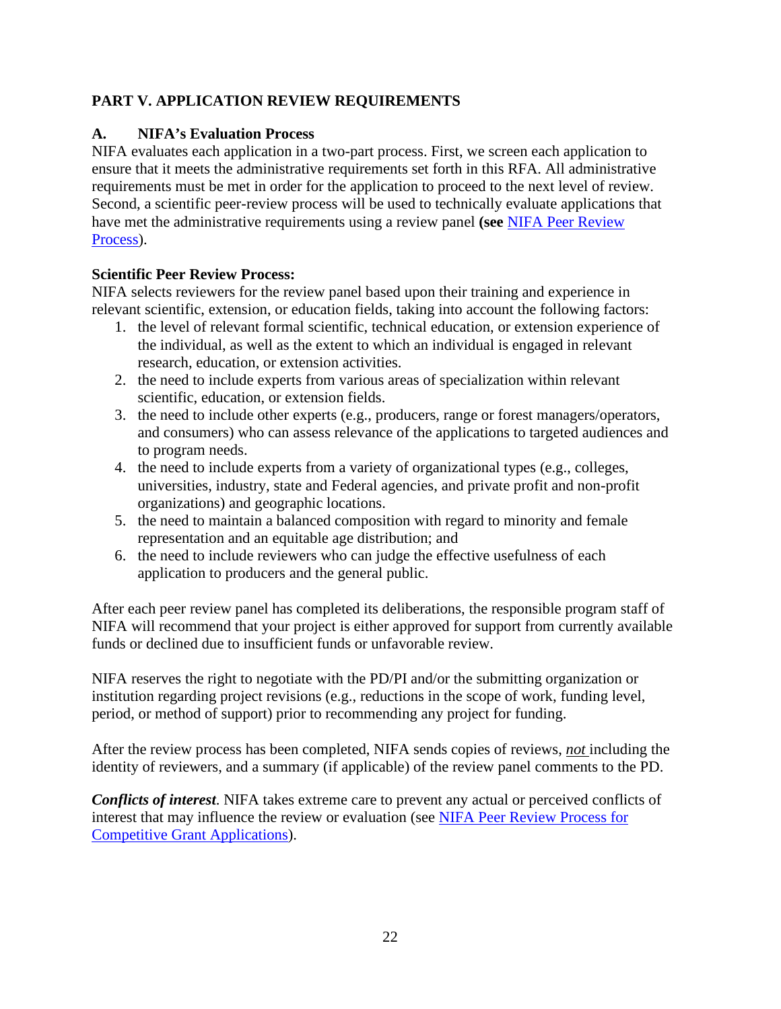#### <span id="page-21-0"></span>**PART V. APPLICATION REVIEW REQUIREMENTS**

#### <span id="page-21-1"></span>**A. NIFA's Evaluation Process**

NIFA evaluates each application in a two-part process. First, we screen each application to ensure that it meets the administrative requirements set forth in this RFA. All administrative requirements must be met in order for the application to proceed to the next level of review. Second, a scientific peer-review process will be used to technically evaluate applications that have met the administrative requirements using a review panel **(see** [NIFA Peer Review](https://nifa.usda.gov/sites/default/files/resource/NIFA-Peer-Review-Process-for-Competitive-Grant-Applications_0.pdf)  [Process\)](https://nifa.usda.gov/sites/default/files/resource/NIFA-Peer-Review-Process-for-Competitive-Grant-Applications_0.pdf).

#### **Scientific Peer Review Process:**

NIFA selects reviewers for the review panel based upon their training and experience in relevant scientific, extension, or education fields, taking into account the following factors:

- 1. the level of relevant formal scientific, technical education, or extension experience of the individual, as well as the extent to which an individual is engaged in relevant research, education, or extension activities.
- 2. the need to include experts from various areas of specialization within relevant scientific, education, or extension fields.
- 3. the need to include other experts (e.g., producers, range or forest managers/operators, and consumers) who can assess relevance of the applications to targeted audiences and to program needs.
- 4. the need to include experts from a variety of organizational types (e.g., colleges, universities, industry, state and Federal agencies, and private profit and non-profit organizations) and geographic locations.
- 5. the need to maintain a balanced composition with regard to minority and female representation and an equitable age distribution; and
- 6. the need to include reviewers who can judge the effective usefulness of each application to producers and the general public.

After each peer review panel has completed its deliberations, the responsible program staff of NIFA will recommend that your project is either approved for support from currently available funds or declined due to insufficient funds or unfavorable review.

NIFA reserves the right to negotiate with the PD/PI and/or the submitting organization or institution regarding project revisions (e.g., reductions in the scope of work, funding level, period, or method of support) prior to recommending any project for funding.

After the review process has been completed, NIFA sends copies of reviews, *not* including the identity of reviewers, and a summary (if applicable) of the review panel comments to the PD.

<span id="page-21-2"></span>*Conflicts of interest*. NIFA takes extreme care to prevent any actual or perceived conflicts of interest that may influence the review or evaluation (see [NIFA Peer Review Process for](https://nifa.usda.gov/resource/nifa-peer-review-process-competitive-grant-applications)  [Competitive Grant Applications\)](https://nifa.usda.gov/resource/nifa-peer-review-process-competitive-grant-applications).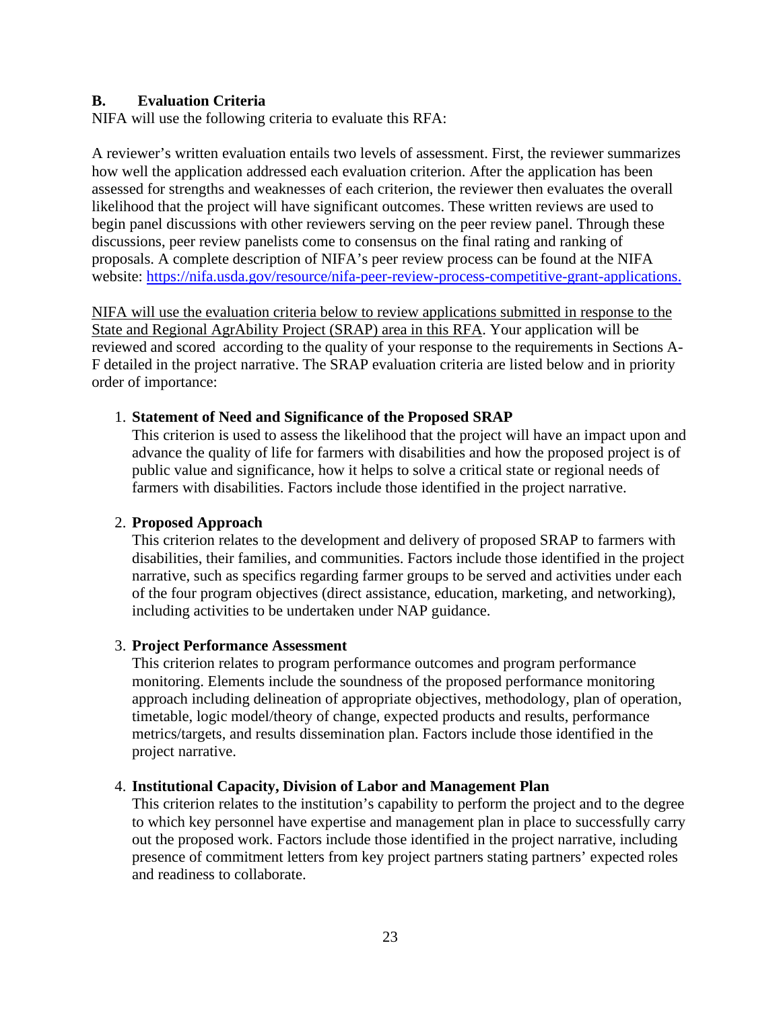#### **B. Evaluation Criteria**

NIFA will use the following criteria to evaluate this RFA:

A reviewer's written evaluation entails two levels of assessment. First, the reviewer summarizes how well the application addressed each evaluation criterion. After the application has been assessed for strengths and weaknesses of each criterion, the reviewer then evaluates the overall likelihood that the project will have significant outcomes. These written reviews are used to begin panel discussions with other reviewers serving on the peer review panel. Through these discussions, peer review panelists come to consensus on the final rating and ranking of proposals. A complete description of NIFA's peer review process can be found at the NIFA website:<https://nifa.usda.gov/resource/nifa-peer-review-process-competitive-grant-applications>[.](http://plone.csrees.usda.gov/groups/OfficesUnits/OGFM/AppData/Local/Microsoft/Windows/INetCache/Content.Outlook/EHVRR5XZ/:%20https:/nifa.usda.gov/sites/default/files/resource/NIFA-Peer-Review-Process-for-Competitive-Grant-Applications_0.pdf) 

NIFA will use the evaluation criteria below to review applications submitted in response to the State and Regional AgrAbility Project (SRAP) area in this RFA. Your application will be reviewed and scored according to the quality of your response to the requirements in Sections A-F detailed in the project narrative. The SRAP evaluation criteria are listed below and in priority order of importance:

#### 1. **Statement of Need and Significance of the Proposed SRAP**

This criterion is used to assess the likelihood that the project will have an impact upon and advance the quality of life for farmers with disabilities and how the proposed project is of public value and significance, how it helps to solve a critical state or regional needs of farmers with disabilities. Factors include those identified in the project narrative.

#### 2. **Proposed Approach**

This criterion relates to the development and delivery of proposed SRAP to farmers with disabilities, their families, and communities. Factors include those identified in the project narrative, such as specifics regarding farmer groups to be served and activities under each of the four program objectives (direct assistance, education, marketing, and networking), including activities to be undertaken under NAP guidance.

#### 3. **Project Performance Assessment**

This criterion relates to program performance outcomes and program performance monitoring. Elements include the soundness of the proposed performance monitoring approach including delineation of appropriate objectives, methodology, plan of operation, timetable, logic model/theory of change, expected products and results, performance metrics/targets, and results dissemination plan. Factors include those identified in the project narrative.

#### 4. **Institutional Capacity, Division of Labor and Management Plan**

This criterion relates to the institution's capability to perform the project and to the degree to which key personnel have expertise and management plan in place to successfully carry out the proposed work. Factors include those identified in the project narrative, including presence of commitment letters from key project partners stating partners' expected roles and readiness to collaborate.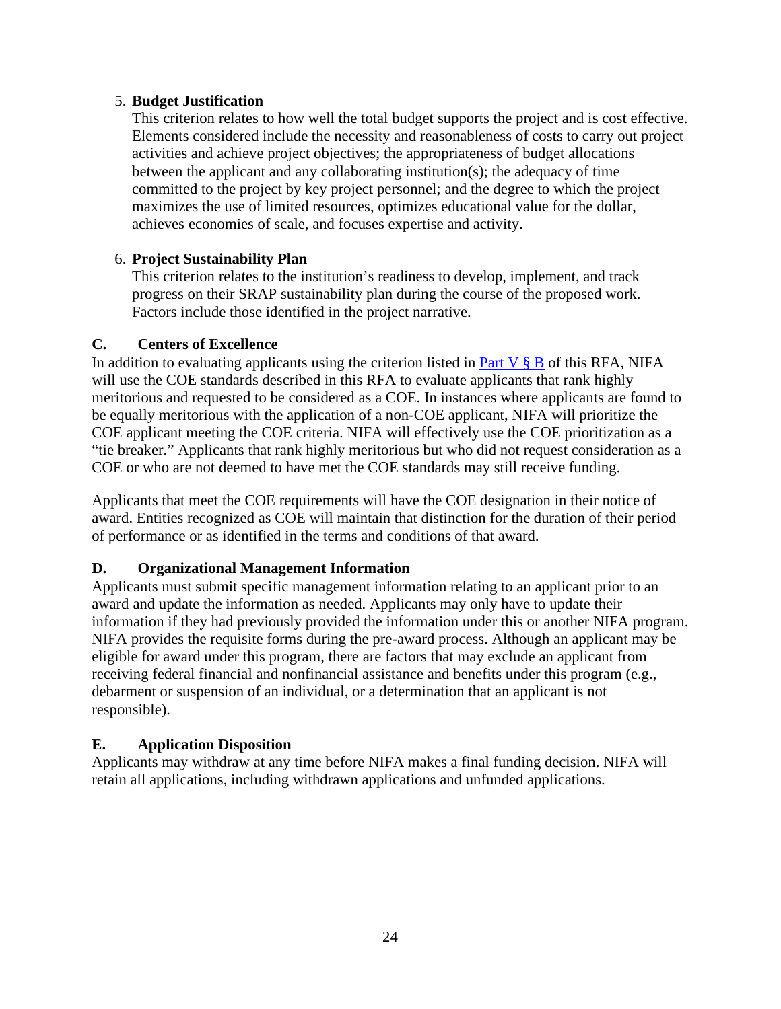#### 5. **Budget Justification**

This criterion relates to how well the total budget supports the project and is cost effective. Elements considered include the necessity and reasonableness of costs to carry out project activities and achieve project objectives; the appropriateness of budget allocations between the applicant and any collaborating institution(s); the adequacy of time committed to the project by key project personnel; and the degree to which the project maximizes the use of limited resources, optimizes educational value for the dollar, achieves economies of scale, and focuses expertise and activity.

#### 6. **Project Sustainability Plan**

This criterion relates to the institution's readiness to develop, implement, and track progress on their SRAP sustainability plan during the course of the proposed work. Factors include those identified in the project narrative.

#### <span id="page-23-0"></span>**C. Centers of Excellence**

In addition to evaluating applicants using the criterion listed in Part V  $\S$  B of this RFA, NIFA will use the COE standards described in this RFA to evaluate applicants that rank highly meritorious and requested to be considered as a COE. In instances where applicants are found to be equally meritorious with the application of a non-COE applicant, NIFA will prioritize the COE applicant meeting the COE criteria. NIFA will effectively use the COE prioritization as a "tie breaker." Applicants that rank highly meritorious but who did not request consideration as a COE or who are not deemed to have met the COE standards may still receive funding.

Applicants that meet the COE requirements will have the COE designation in their notice of award. Entities recognized as COE will maintain that distinction for the duration of their period of performance or as identified in the terms and conditions of that award.

#### <span id="page-23-1"></span>**D. Organizational Management Information**

Applicants must submit specific management information relating to an applicant prior to an award and update the information as needed. Applicants may only have to update their information if they had previously provided the information under this or another NIFA program. NIFA provides the requisite forms during the pre-award process. Although an applicant may be eligible for award under this program, there are factors that may exclude an applicant from receiving federal financial and nonfinancial assistance and benefits under this program (e.g., debarment or suspension of an individual, or a determination that an applicant is not responsible).

#### <span id="page-23-2"></span>**E. Application Disposition**

Applicants may withdraw at any time before NIFA makes a final funding decision. NIFA will retain all applications, including withdrawn applications and unfunded applications.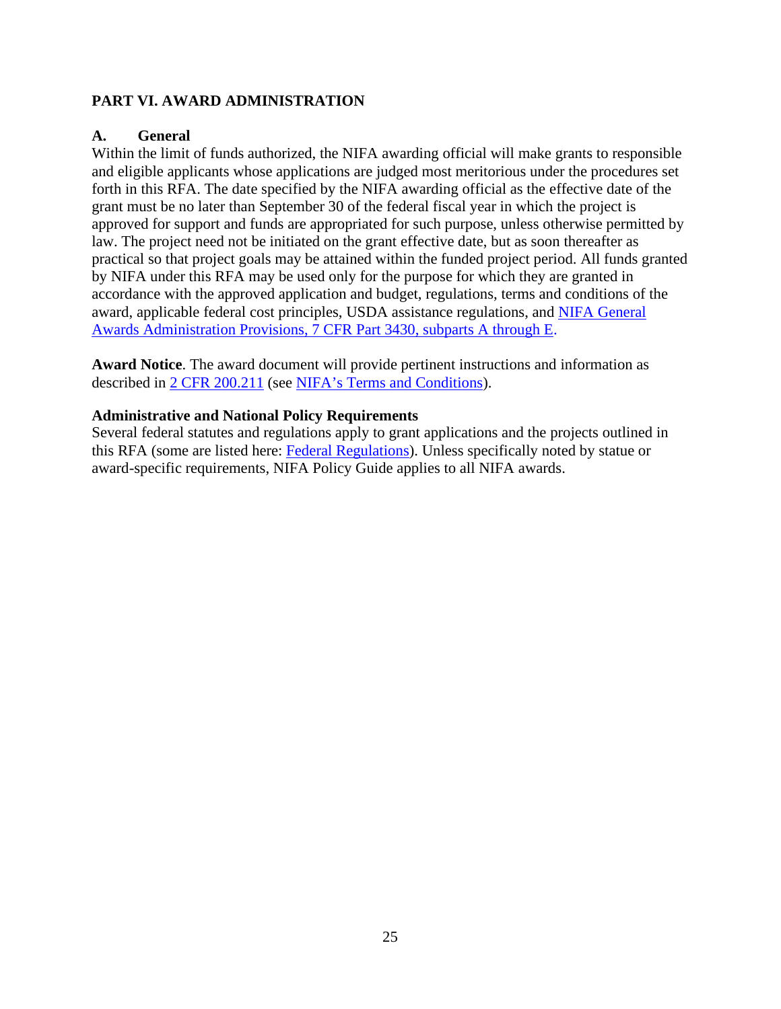#### <span id="page-24-0"></span>**PART VI. AWARD ADMINISTRATION**

#### <span id="page-24-1"></span>**A. General**

Within the limit of funds authorized, the NIFA awarding official will make grants to responsible and eligible applicants whose applications are judged most meritorious under the procedures set forth in this RFA. The date specified by the NIFA awarding official as the effective date of the grant must be no later than September 30 of the federal fiscal year in which the project is approved for support and funds are appropriated for such purpose, unless otherwise permitted by law. The project need not be initiated on the grant effective date, but as soon thereafter as practical so that project goals may be attained within the funded project period. All funds granted by NIFA under this RFA may be used only for the purpose for which they are granted in accordance with the approved application and budget, regulations, terms and conditions of the award, applicable federal cost principles, USDA assistance regulations, and [NIFA General](https://www.ecfr.gov/cgi-bin/text-idx?SID=1a74011311d649ff6313ca273791b131&mc=true&node=pt7.15.3430&rgn=div5)  Awards Administration Provisions, [7 CFR Part 3430, subparts A through E.](https://www.ecfr.gov/cgi-bin/text-idx?SID=1a74011311d649ff6313ca273791b131&mc=true&node=pt7.15.3430&rgn=div5)

**Award Notice**. The award document will provide pertinent instructions and information as described in [2 CFR 200.211](https://www.ecfr.gov/cgi-bin/retrieveECFR?gp=&SID=c44a1f8f16917d78ba5ba676eac5fdc3&mc=true&r=SECTION&n=se2.1.200_1211) (see [NIFA's Terms and Conditions\)](https://nifa.usda.gov/terms-and-conditions).

#### <span id="page-24-2"></span>**Administrative and National Policy Requirements**

Several federal statutes and regulations apply to grant applications and the projects outlined in this RFA (some are listed here: [Federal Regulations\)](https://nifa.usda.gov/federal-regulations). Unless specifically noted by statue or award-specific requirements, NIFA Policy Guide applies to all NIFA awards.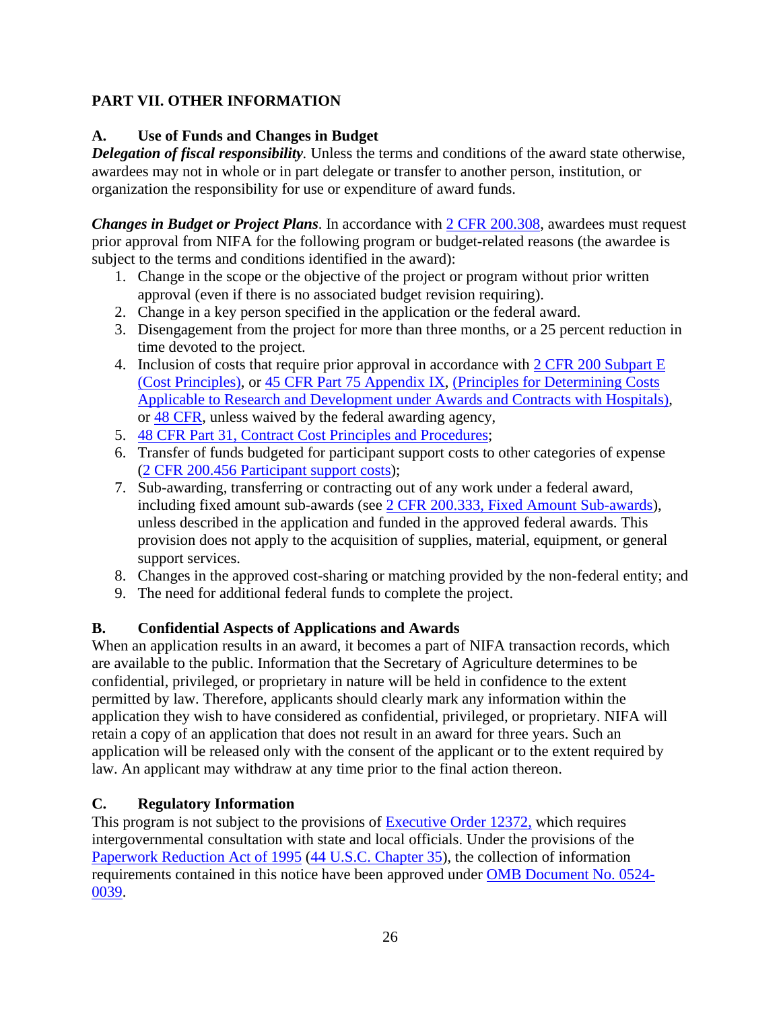#### **PART VII. OTHER INFORMATION**

#### <span id="page-25-0"></span>**A. Use of Funds and Changes in Budget**

*Delegation of fiscal responsibility.* Unless the terms and conditions of the award state otherwise, awardees may not in whole or in part delegate or transfer to another person, institution, or organization the responsibility for use or expenditure of award funds.

*Changes in Budget or Project Plans*. In accordance with [2 CFR 200.308,](https://www.ecfr.gov/cgi-bin/text-idx?SID=3af89506559b05297e7d0334cb283e24&mc=true&node=se2.1.200_1308&rgn=div8) awardees must request prior approval from NIFA for the following program or budget-related reasons (the awardee is subject to the terms and conditions identified in the award):

- 1. Change in the scope or the objective of the project or program without prior written approval (even if there is no associated budget revision requiring).
- 2. Change in a key person specified in the application or the federal award.
- 3. Disengagement from the project for more than three months, or a 25 percent reduction in time devoted to the project.
- 4. Inclusion of costs that require prior approval in accordance with 2 CFR 200 Subpart E [\(Cost Principles\),](https://www.ecfr.gov/current/title-2/subtitle-A/chapter-II/part-200#subpart-E) or [45 CFR Part 75 Appendix IX,](https://www.ecfr.gov/cgi-bin/text-idx?node=pt45.1.75#ap45.1.75_1521.ix) [\(Principles for Determining Costs](https://www.ecfr.gov/cgi-bin/text-idx?node=pt45.1.75#ap45.1.75_1521.ix)  [Applicable to Research and Development under Awards and Contracts with Hospitals\)](https://www.ecfr.gov/cgi-bin/text-idx?node=pt45.1.75#ap45.1.75_1521.ix), or [48 CFR,](https://www.ecfr.gov/cgi-bin/text-idx?SID=4d9d83a5cef52c19c5ff83421fa48a4b&mc=true&tpl=/ecfrbrowse/Title48/48tab_02.tpl) unless waived by the federal awarding agency,
- 5. [48 CFR Part 31, Contract Cost Principles and Procedures;](https://www.ecfr.gov/cgi-bin/text-idx?SID=4d9d83a5cef52c19c5ff83421fa48a4b&mc=true&node=pt48.1.31&rgn=div5)
- 6. Transfer of funds budgeted for participant support costs to other categories of expense [\(2 CFR 200.456 Participant support costs\)](https://www.ecfr.gov/cgi-bin/text-idx?SID=875f7422535a157681c65d5ff44deb32&mc=true&node=pt2.1.200&rgn=div5#se2.1.200_1456);
- 7. Sub-awarding, transferring or contracting out of any work under a federal award, including fixed amount sub-awards (see [2 CFR 200.333, Fixed Amount Sub-awards\)](https://www.ecfr.gov/cgi-bin/text-idx?SID=9eaf9554e1f32bf0d83aca55646e9b7e&mc=true&node=pt2.1.200&rgn=div5#se2.1.200_1333), unless described in the application and funded in the approved federal awards. This provision does not apply to the acquisition of supplies, material, equipment, or general support services.
- 8. Changes in the approved cost-sharing or matching provided by the non-federal entity; and
- 9. The need for additional federal funds to complete the project.

#### <span id="page-25-1"></span>**B. Confidential Aspects of Applications and Awards**

When an application results in an award, it becomes a part of NIFA transaction records, which are available to the public. Information that the Secretary of Agriculture determines to be confidential, privileged, or proprietary in nature will be held in confidence to the extent permitted by law. Therefore, applicants should clearly mark any information within the application they wish to have considered as confidential, privileged, or proprietary. NIFA will retain a copy of an application that does not result in an award for three years. Such an application will be released only with the consent of the applicant or to the extent required by law. An applicant may withdraw at any time prior to the final action thereon.

#### <span id="page-25-2"></span>**C. Regulatory Information**

This program is not subject to the provisions of **Executive Order 12372**, which requires intergovernmental consultation with state and local officials. Under the provisions of the [Paperwork Reduction Act of 1995](https://www.reginfo.gov/public/reginfo/pra.pdf) [\(44 U.S.C. Chapter 35\)](http://uscode.house.gov/view.xhtml?path=/prelim@title44/chapter35&edition=prelim), the collection of information requirements contained in this notice have been approved under [OMB Document No. 0524-](https://www.federalregister.gov/documents/2018/10/29/2018-23552/submission-for-omb-review-comment-request) [0039.](https://www.federalregister.gov/documents/2018/10/29/2018-23552/submission-for-omb-review-comment-request)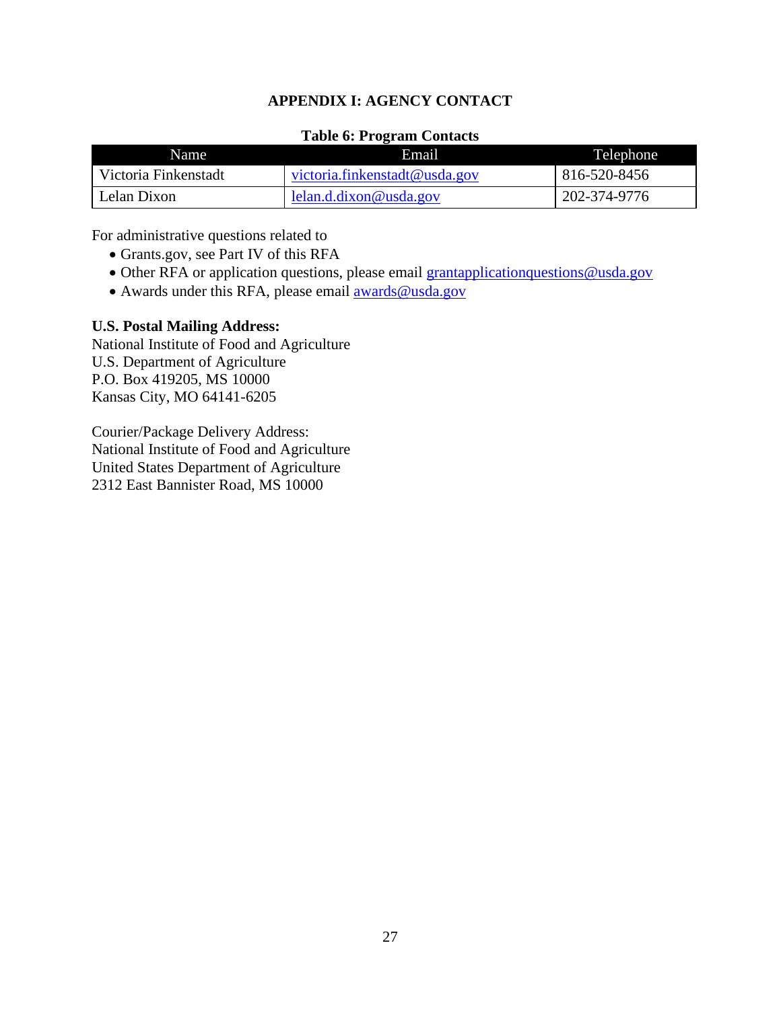#### **APPENDIX I: AGENCY CONTACT**

#### **Table 6: Program Contacts**

<span id="page-26-0"></span>

| <b>Name</b>          | Email                         | Telephone    |
|----------------------|-------------------------------|--------------|
| Victoria Finkenstadt | victoria.finkenstadt@usda.gov | 816-520-8456 |
| Lelan Dixon          | lelan.d.dixon@usda.gov        | 202-374-9776 |

For administrative questions related to

- Grants.gov, see Part IV of this RFA
- Other RFA or application questions, please email grantapplicationquestions@usda.gov
- Awards under this RFA, please email **awards@usda.gov**

#### **U.S. Postal Mailing Address:**

National Institute of Food and Agriculture U.S. Department of Agriculture P.O. Box 419205, MS 10000 Kansas City, MO 64141-6205

Courier/Package Delivery Address: National Institute of Food and Agriculture United States Department of Agriculture 2312 East Bannister Road, MS 10000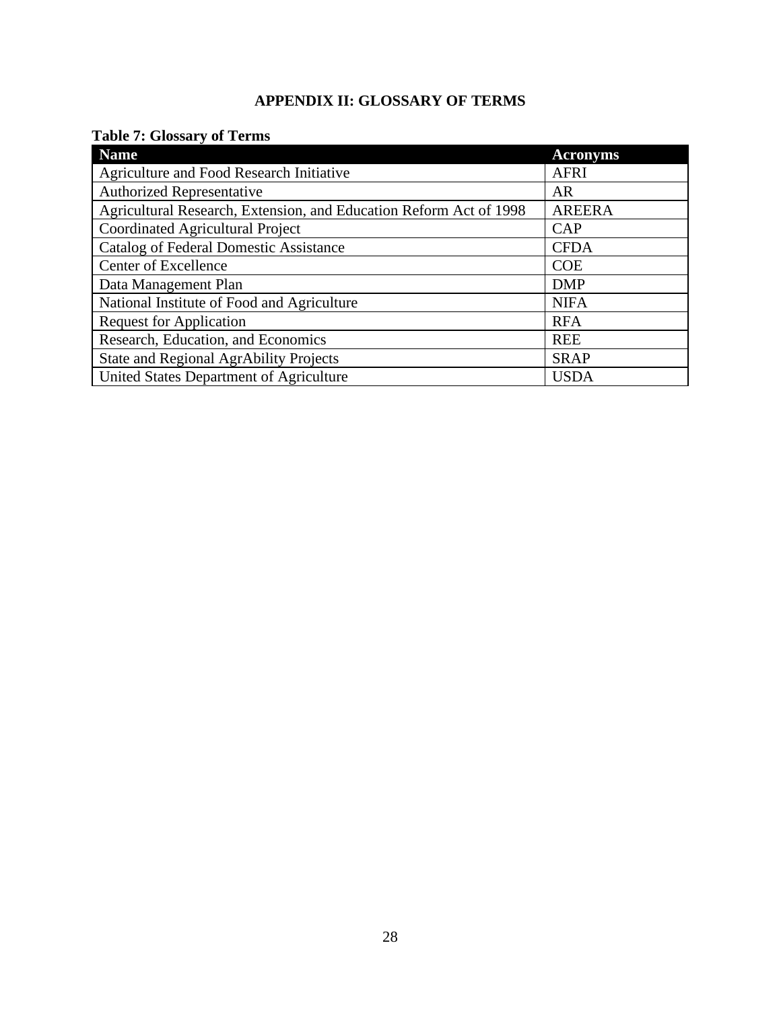#### **APPENDIX II: GLOSSARY OF TERMS**

#### <span id="page-27-1"></span><span id="page-27-0"></span>**Table 7: Glossary of Terms**

| <b>Name</b>                                                        | <b>Acronyms</b> |
|--------------------------------------------------------------------|-----------------|
| Agriculture and Food Research Initiative                           | <b>AFRI</b>     |
| <b>Authorized Representative</b>                                   | AR              |
| Agricultural Research, Extension, and Education Reform Act of 1998 | <b>AREERA</b>   |
| Coordinated Agricultural Project                                   | <b>CAP</b>      |
| <b>Catalog of Federal Domestic Assistance</b>                      | <b>CFDA</b>     |
| Center of Excellence                                               | <b>COE</b>      |
| Data Management Plan                                               | <b>DMP</b>      |
| National Institute of Food and Agriculture                         | <b>NIFA</b>     |
| <b>Request for Application</b>                                     | <b>RFA</b>      |
| Research, Education, and Economics                                 | <b>REE</b>      |
| <b>State and Regional AgrAbility Projects</b>                      | <b>SRAP</b>     |
| United States Department of Agriculture                            | <b>USDA</b>     |